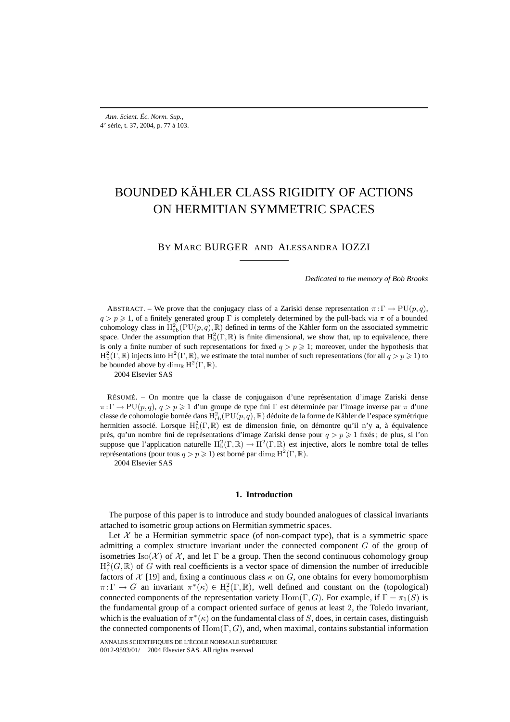# BOUNDED KÄHLER CLASS RIGIDITY OF ACTIONS ON HERMITIAN SYMMETRIC SPACES

# BY MARC BURGER AND ALESSANDRA IOZZI

*Dedicated to the memory of Bob Brooks*

ABSTRACT. – We prove that the conjugacy class of a Zariski dense representation  $\pi : \Gamma \to \text{PU}(p,q)$ ,  $q>p \ge 1$ , of a finitely generated group Γ is completely determined by the pull-back via  $\pi$  of a bounded cohomology class in  $H^2_{cb}(PU(p,q), \mathbb{R})$  defined in terms of the Kähler form on the associated symmetric space. Under the assumption that  $H_b^2(\Gamma,\mathbb{R})$  is finite dimensional, we show that, up to equivalence, there is only a finite number of such representations for fixed  $q>p \geq 1$ ; moreover, under the hypothesis that  $H^2_b(\Gamma,\mathbb{R})$  injects into  $H^2(\Gamma,\mathbb{R})$ , we estimate the total number of such representations (for all  $q > p \geq 1$ ) to be bounded above by  $\dim_{\mathbb{R}} H^2(\Gamma,\mathbb{R})$ .

2004 Elsevier SAS

RÉSUMÉ. – On montre que la classe de conjugaison d'une représentation d'image Zariski dense  $\pi: \Gamma \to PU(p, q), q > p \geq 1$  d'un groupe de type fini  $\Gamma$  est déterminée par l'image inverse par  $\pi$  d'une classe de cohomologie bornée dans  $\mathrm{H}^2_{\mathrm{cb}}(\mathrm{PU}(p,q),\mathbb{R})$  déduite de la forme de Kähler de l'espace symétrique hermitien associé. Lorsque  $H_b^2(\Gamma,\mathbb{R})$  est de dimension finie, on démontre qu'il n'y a, à équivalence près, qu'un nombre fini de représentations d'image Zariski dense pour  $q>p \geq 1$  fixés; de plus, si l'on suppose que l'application naturelle  $H_b^2(\Gamma,\mathbb{R}) \to H^2(\Gamma,\mathbb{R})$  est injective, alors le nombre total de telles représentations (pour tous  $q>p \geq 1$ ) est borné par dim<sub>R</sub> H<sup>2</sup>(Γ, R).

2004 Elsevier SAS

#### **1. Introduction**

The purpose of this paper is to introduce and study bounded analogues of classical invariants attached to isometric group actions on Hermitian symmetric spaces.

Let  $X$  be a Hermitian symmetric space (of non-compact type), that is a symmetric space admitting a complex structure invariant under the connected component G of the group of isometries Iso( $\mathcal{X}$ ) of  $\mathcal{X}$ , and let  $\Gamma$  be a group. Then the second continuous cohomology group  $H_c^2(G,\mathbb{R})$  of G with real coefficients is a vector space of dimension the number of irreducible factors of  $\mathcal{X}$  [19] and, fixing a continuous class  $\kappa$  on G, one obtains for every homomorphism  $\pi: \Gamma \to G$  an invariant  $\pi^*(\kappa) \in H^2_c(\Gamma, \mathbb{R})$ , well defined and constant on the (topological) connected components of the representation variety Hom(Γ, G). For example, if  $\Gamma = \pi_1(S)$  is the fundamental group of a compact oriented surface of genus at least 2, the Toledo invariant, which is the evaluation of  $\pi^*(\kappa)$  on the fundamental class of S, does, in certain cases, distinguish the connected components of Hom( $\Gamma$ , G), and, when maximal, contains substantial information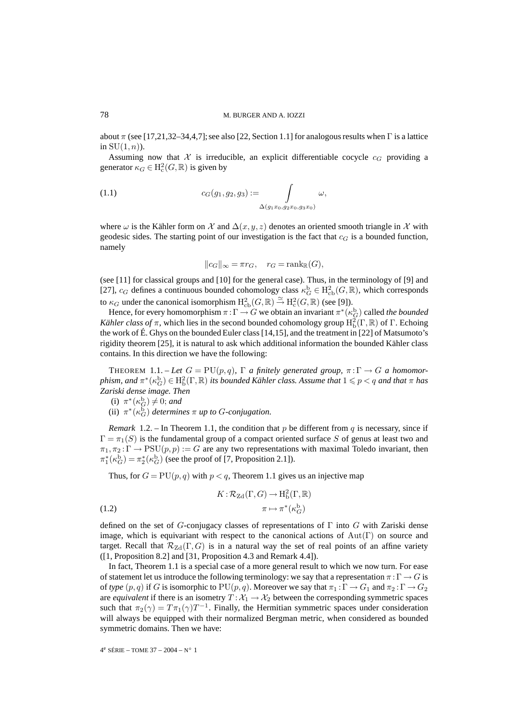about  $\pi$  (see [17,21,32–34,4,7]; see also [22, Section 1.1] for analogous results when  $\Gamma$  is a lattice in  $SU(1, n)$ ).

Assuming now that X is irreducible, an explicit differentiable cocycle  $c_G$  providing a generator  $\kappa_G \in H^2_c(G, \mathbb{R})$  is given by

(1.1) 
$$
c_G(g_1, g_2, g_3) := \int_{\Delta(g_1x_0, g_2x_0, g_3x_0)} \omega,
$$

where  $\omega$  is the Kähler form on X and  $\Delta(x, y, z)$  denotes an oriented smooth triangle in X with geodesic sides. The starting point of our investigation is the fact that  $c_G$  is a bounded function, namely

$$
||c_G||_{\infty} = \pi r_G, \quad r_G = \text{rank}_{\mathbb{R}}(G),
$$

(see [11] for classical groups and [10] for the general case). Thus, in the terminology of [9] and [27],  $c_G$  defines a continuous bounded cohomology class  $\kappa_G^b \in H^2_{cb}(G, \mathbb{R})$ , which corresponds to  $\kappa_G$  under the canonical isomorphism  $H^2_{\text{cb}}(G,\mathbb{R}) \stackrel{\simeq}{\to} H^2_{\text{c}}(G,\mathbb{R})$  (see [9]).

Hence, for every homomorphism  $\pi : \Gamma \to G$  we obtain an invariant  $\pi^*(\kappa_G^b)$  called *the bounded Kähler class of*  $\pi$ , which lies in the second bounded cohomology group  $H_b^2(\Gamma,\mathbb{R})$  of  $\Gamma$ . Echoing the work of É. Ghys on the bounded Euler class [14,15], and the treatment in [22] of Matsumoto's rigidity theorem [25], it is natural to ask which additional information the bounded Kähler class contains. In this direction we have the following:

THEOREM 1.1. – Let  $G = PU(p, q)$ ,  $\Gamma$  *a finitely generated group,*  $\pi : \Gamma \to G$  *a homomor* $p$ hism, and  $\pi^*(\kappa_G^\text{b}) \in \mathrm{H}^2_\mathrm{b}(\Gamma,\mathbb{R})$  its bounded Kähler class. Assume that  $1 \leqslant p < q$  and that  $\pi$  has *Zariski dense image. Then*

(i) 
$$
\pi^*(\kappa_G^{\mathrm{b}}) \neq 0
$$
; and

(ii)  $\pi^*(\kappa_G^{\bar{b}})$  *determines*  $\pi$  *up to G-conjugation.* 

*Remark* 1.2. – In Theorem 1.1, the condition that p be different from q is necessary, since if  $\Gamma = \pi_1(S)$  is the fundamental group of a compact oriented surface S of genus at least two and  $\pi_1, \pi_2 : \Gamma \to \mathrm{PSU}(p, p) := G$  are any two representations with maximal Toledo invariant, then  $\pi_1^*(\kappa_G^{\rm b}) = \pi_2^*(\kappa_G^{\rm b})$  (see the proof of [7, Proposition 2.1]).

Thus, for  $G = PU(p, q)$  with  $p < q$ , Theorem 1.1 gives us an injective map

(1.2) 
$$
K: \mathcal{R}_{\mathrm{Zd}}(\Gamma, G) \to \mathrm{H}^2_{\mathrm{b}}(\Gamma, \mathbb{R})
$$

$$
\pi \mapsto \pi^* (\kappa_G^{\mathrm{b}})
$$

defined on the set of G-conjugacy classes of representations of  $\Gamma$  into G with Zariski dense image, which is equivariant with respect to the canonical actions of  $Aut(Γ)$  on source and target. Recall that  $\mathcal{R}_{Zd}(\Gamma, G)$  is in a natural way the set of real points of an affine variety ([1, Proposition 8.2] and [31, Proposition 4.3 and Remark 4.4]).

In fact, Theorem 1.1 is a special case of a more general result to which we now turn. For ease of statement let us introduce the following terminology: we say that a representation  $\pi : \Gamma \to G$  is of *type*  $(p, q)$  if G is isomorphic to  $PU(p, q)$ . Moreover we say that  $\pi_1 : \Gamma \to G_1$  and  $\pi_2 : \Gamma \to G_2$ are *equivalent* if there is an isometry  $T : \mathcal{X}_1 \to \mathcal{X}_2$  between the corresponding symmetric spaces such that  $\pi_2(\gamma) = T\pi_1(\gamma)T^{-1}$ . Finally, the Hermitian symmetric spaces under consideration will always be equipped with their normalized Bergman metric, when considered as bounded symmetric domains. Then we have: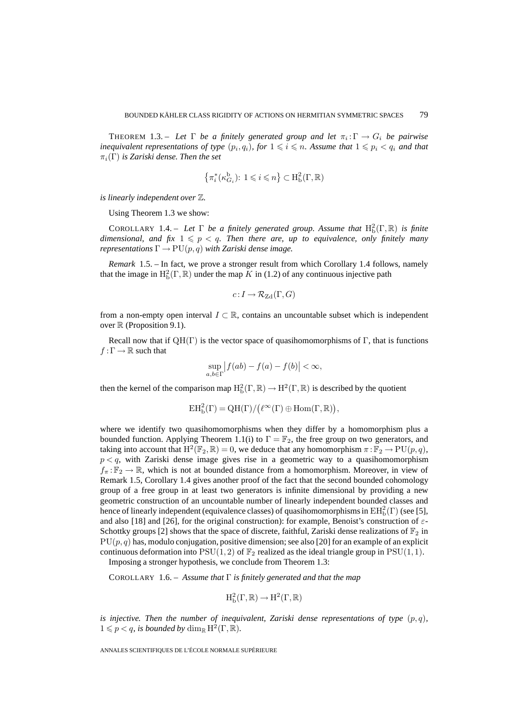THEOREM 1.3. – Let  $\Gamma$  be a finitely generated group and let  $\pi_i : \Gamma \to G_i$  be pairwise inequivalent representations of type  $(p_i, q_i)$ , for  $1 \leqslant i \leqslant n$ . Assume that  $1 \leqslant p_i < q_i$  and that  $\pi_i(\Gamma)$  *is Zariski dense. Then the set* 

$$
\left\{\pi_i^*(\kappa_{G_i}^{\mathbf{b}})\colon 1\leqslant i\leqslant n\right\}\subset\mathrm{H}_{\mathrm{b}}^2(\Gamma,\mathbb{R})
$$

*is linearly independent over* Z*.*

Using Theorem 1.3 we show:

COROLLARY 1.4. – Let  $\Gamma$  be a finitely generated group. Assume that  $H_b^2(\Gamma,\mathbb{R})$  is finite  $d$ imensional, and fix  $1 \leqslant p < q$ . Then there are, up to equivalence, only finitely many *representations*  $\Gamma \to \text{PU}(p,q)$  *with Zariski dense image.* 

*Remark* 1.5. – In fact, we prove a stronger result from which Corollary 1.4 follows, namely that the image in  $\mathrm{H}^2_{\mathrm{b}}(\Gamma,\mathbb{R})$  under the map K in (1.2) of any continuous injective path

$$
c:I\to \mathcal{R}_{\mathrm{Zd}}(\Gamma,G)
$$

from a non-empty open interval  $I \subset \mathbb{R}$ , contains an uncountable subset which is independent over  $\mathbb R$  (Proposition 9.1).

Recall now that if  $QH(\Gamma)$  is the vector space of quasihomomorphisms of  $\Gamma$ , that is functions  $f : \Gamma \to \mathbb{R}$  such that

$$
\sup_{a,b\in\Gamma} |f(ab) - f(a) - f(b)| < \infty,
$$

then the kernel of the comparison map  $H_b^2(\Gamma,\mathbb{R}) \to H^2(\Gamma,\mathbb{R})$  is described by the quotient

$$
EH_b^2(\Gamma) = QH(\Gamma)/(\ell^{\infty}(\Gamma) \oplus \mathrm{Hom}(\Gamma,\mathbb{R})),
$$

where we identify two quasihomomorphisms when they differ by a homomorphism plus a bounded function. Applying Theorem 1.1(i) to  $\Gamma = \mathbb{F}_2$ , the free group on two generators, and taking into account that  $H^2(\mathbb{F}_2,\mathbb{R})=0$ , we deduce that any homomorphism  $\pi:\mathbb{F}_2 \to \text{PU}(p,q)$ ,  $p < q$ , with Zariski dense image gives rise in a geometric way to a quasihomomorphism  $f_\pi: \mathbb{F}_2 \to \mathbb{R}$ , which is not at bounded distance from a homomorphism. Moreover, in view of Remark 1.5, Corollary 1.4 gives another proof of the fact that the second bounded cohomology group of a free group in at least two generators is infinite dimensional by providing a new geometric construction of an uncountable number of linearly independent bounded classes and hence of linearly independent (equivalence classes) of quasihomomorphisms in  $\mathrm{EH}_\mathrm{b}^2(\Gamma)$  (see [5], and also [18] and [26], for the original construction): for example, Benoist's construction of  $\varepsilon$ -Schottky groups [2] shows that the space of discrete, faithful, Zariski dense realizations of  $\mathbb{F}_2$  in  $PU(p, q)$  has, modulo conjugation, positive dimension; see also [20] for an example of an explicit continuous deformation into  $PSU(1, 2)$  of  $\mathbb{F}_2$  realized as the ideal triangle group in  $PSU(1, 1)$ .

Imposing a stronger hypothesis, we conclude from Theorem 1.3:

COROLLARY 1.6. – *Assume that* Γ *is finitely generated and that the map*

$$
H^2_b(\Gamma,\mathbb{R})\to H^2(\Gamma,\mathbb{R})
$$

*is injective. Then the number of inequivalent, Zariski dense representations of type*  $(p, q)$ *,*  $1 \leqslant p < q$ *, is bounded by* dim<sub>R</sub> H<sup>2</sup>(Γ, R)*.*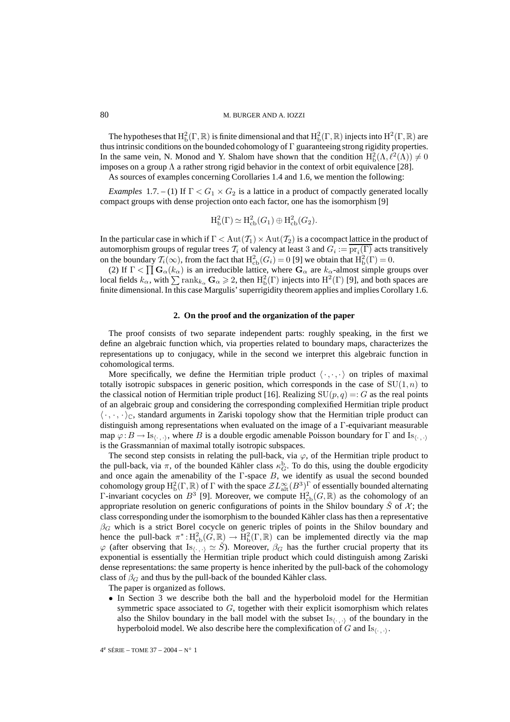#### 80 M. BURGER AND A. IOZZI

The hypotheses that  $H_b^2(\Gamma,\mathbb{R})$  is finite dimensional and that  $H_b^2(\Gamma,\mathbb{R})$  injects into  $H^2(\Gamma,\mathbb{R})$  are thus intrinsic conditions on the bounded cohomology of  $\Gamma$  guaranteeing strong rigidity properties. In the same vein, N. Monod and Y. Shalom have shown that the condition  $H_b^2(\Lambda, \ell^2(\Lambda)) \neq 0$ imposes on a group  $\Lambda$  a rather strong rigid behavior in the context of orbit equivalence [28].

As sources of examples concerning Corollaries 1.4 and 1.6, we mention the following:

*Examples* 1.7. – (1) If  $\Gamma < G_1 \times G_2$  is a lattice in a product of compactly generated locally compact groups with dense projection onto each factor, one has the isomorphism [9]

$$
H^2b(\Gamma) \simeq H^2cb(G_1) \oplus H^2cb(G_2).
$$

In the particular case in which if  $\Gamma < Aut(T_1) \times Aut(T_2)$  is a cocompact lattice in the product of automorphism groups of regular trees  $T_i$  of valency at least 3 and  $G_i := \text{pr}_i(\Gamma)$  acts transitively on the boundary  $\mathcal{T}_i(\infty)$ , from the fact that  $H^2_{\text{cb}}(G_i) = 0$  [9] we obtain that  $H^2_{\text{b}}(\Gamma) = 0$ .

(2) If  $\Gamma < \prod G_\alpha(k_\alpha)$  is an irreducible lattice, where  $G_\alpha$  are  $k_\alpha$ -almost simple groups over local fields  $k_{\alpha}$ , with  $\sum \text{rank}_{k_{\alpha}} \mathbf{G}_{\alpha} \geqslant 2$ , then  $\mathrm{H}^2_{\mathrm{b}}(\Gamma)$  injects into  $\mathrm{H}^2(\Gamma)$  [9], and both spaces are finite dimensional. In this case Margulis' superrigidity theorem applies and implies Corollary 1.6.

# **2. On the proof and the organization of the paper**

The proof consists of two separate independent parts: roughly speaking, in the first we define an algebraic function which, via properties related to boundary maps, characterizes the representations up to conjugacy, while in the second we interpret this algebraic function in cohomological terms.

More specifically, we define the Hermitian triple product  $\langle \cdot, \cdot, \cdot \rangle$  on triples of maximal totally isotropic subspaces in generic position, which corresponds in the case of  $SU(1, n)$  to the classical notion of Hermitian triple product [16]. Realizing  $SU(p, q) =: G$  as the real points of an algebraic group and considering the corresponding complexified Hermitian triple product  $\langle \cdot, \cdot, \cdot \rangle_{\mathbb{C}}$ , standard arguments in Zariski topology show that the Hermitian triple product can distinguish among representations when evaluated on the image of a Γ-equivariant measurable map  $\varphi: B \to \mathrm{Is}_{\langle \cdot, \cdot, \cdot \rangle}$ , where B is a double ergodic amenable Poisson boundary for  $\Gamma$  and  $\mathrm{Is}_{\langle \cdot, \cdot, \cdot \rangle}$ is the Grassmannian of maximal totally isotropic subspaces.

The second step consists in relating the pull-back, via  $\varphi$ , of the Hermitian triple product to the pull-back, via  $\pi$ , of the bounded Kähler class  $\kappa_G^b$ . To do this, using the double ergodicity and once again the amenability of the  $\Gamma$ -space  $B$ , we identify as usual the second bounded cohomology group  $H^2_b(\Gamma,\mathbb{R})$  of  $\Gamma$  with the space  $\mathcal{Z}L^\infty_{\text{alt}}(B^3)^{\Gamma}$  of essentially bounded alternating Γ-invariant cocycles on  $B^3$  [9]. Moreover, we compute  $H^2_{\text{cb}}(G,\mathbb{R})$  as the cohomology of an appropriate resolution on generic configurations of points in the Shilov boundary  $\tilde{S}$  of  $\mathcal{X}$ ; the class corresponding under the isomorphism to the bounded Kähler class has then a representative  $\beta$ <sub>G</sub> which is a strict Borel cocycle on generic triples of points in the Shilov boundary and hence the pull-back  $\pi^*: H^2_{\text{cb}}(G, \mathbb{R}) \to H^2_{\text{b}}(\Gamma, \mathbb{R})$  can be implemented directly via the map  $\varphi$  (after observing that Is<sub>(.,)</sub>  $\simeq \check{S}$ ). Moreover,  $\beta_G$  has the further crucial property that its exponential is essentially the Hermitian triple product which could distinguish among Zariski dense representations: the same property is hence inherited by the pull-back of the cohomology class of  $\beta_G$  and thus by the pull-back of the bounded Kähler class.

The paper is organized as follows.

• In Section 3 we describe both the ball and the hyperboloid model for the Hermitian symmetric space associated to  $G$ , together with their explicit isomorphism which relates also the Shilov boundary in the ball model with the subset  $Is_{\langle \cdot, \cdot \rangle}$  of the boundary in the hyperboloid model. We also describe here the complexification of G and  $\text{Is}_{\langle \cdot, \cdot \rangle}$ .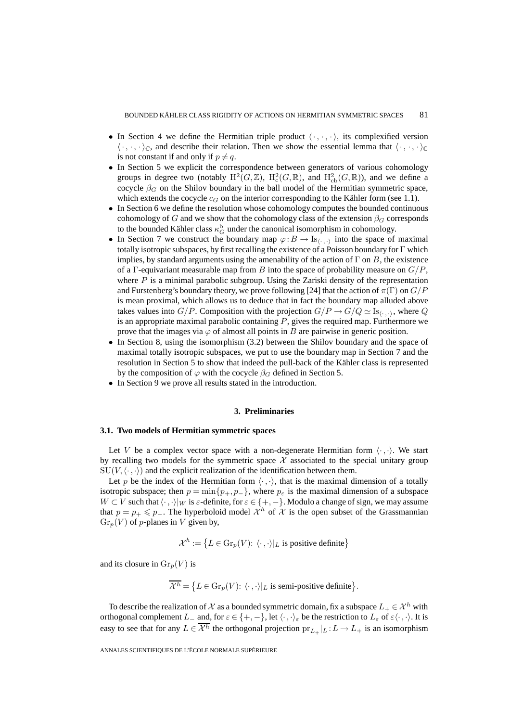- In Section 4 we define the Hermitian triple product  $\langle \cdot, \cdot, \cdot \rangle$ , its complexified version  $\langle \cdot, \cdot, \cdot \rangle_{\mathbb{C}}$ , and describe their relation. Then we show the essential lemma that  $\langle \cdot, \cdot, \cdot \rangle_{\mathbb{C}}$ is not constant if and only if  $p \neq q$ .
- In Section 5 we explicit the correspondence between generators of various cohomology groups in degree two (notably  $H^2(G,\mathbb{Z})$ ,  $H^2_c(G,\mathbb{R})$ , and  $H^2_{cb}(G,\mathbb{R})$ ), and we define a cocycle  $\beta_G$  on the Shilov boundary in the ball model of the Hermitian symmetric space, which extends the cocycle  $c_G$  on the interior corresponding to the Kähler form (see 1.1).
- In Section 6 we define the resolution whose cohomology computes the bounded continuous cohomology of G and we show that the cohomology class of the extension  $\beta_G$  corresponds to the bounded Kähler class  $\kappa_G^{\rm b}$  under the canonical isomorphism in cohomology.
- In Section 7 we construct the boundary map  $\varphi : B \to \text{Is}_{\langle \cdot, \cdot \rangle}$  into the space of maximal totally isotropic subspaces, by first recalling the existence of a Poisson boundary for Γ which implies, by standard arguments using the amenability of the action of  $\Gamma$  on B, the existence of a Γ-equivariant measurable map from B into the space of probability measure on  $G/P$ , where  $P$  is a minimal parabolic subgroup. Using the Zariski density of the representation and Furstenberg's boundary theory, we prove following [24] that the action of  $\pi(\Gamma)$  on  $G/P$ is mean proximal, which allows us to deduce that in fact the boundary map alluded above takes values into  $G/P$ . Composition with the projection  $G/P \to G/Q \simeq Is_{(.,.)}$ , where Q is an appropriate maximal parabolic containing  $P$ , gives the required map. Furthermore we prove that the images via  $\varphi$  of almost all points in B are pairwise in generic position.
- In Section 8, using the isomorphism (3.2) between the Shilov boundary and the space of maximal totally isotropic subspaces, we put to use the boundary map in Section 7 and the resolution in Section 5 to show that indeed the pull-back of the Kähler class is represented by the composition of  $\varphi$  with the cocycle  $\beta_G$  defined in Section 5.
- In Section 9 we prove all results stated in the introduction.

#### **3. Preliminaries**

#### **3.1. Two models of Hermitian symmetric spaces**

Let V be a complex vector space with a non-degenerate Hermitian form  $\langle \cdot, \cdot \rangle$ . We start by recalling two models for the symmetric space  $X$  associated to the special unitary group  $\text{SU}(V,\langle\cdot,\cdot\rangle)$  and the explicit realization of the identification between them.

Let p be the index of the Hermitian form  $\langle \cdot, \cdot \rangle$ , that is the maximal dimension of a totally isotropic subspace; then  $p = \min\{p_+, p_-\}$ , where  $p_{\varepsilon}$  is the maximal dimension of a subspace  $W \subset V$  such that  $\langle \cdot, \cdot \rangle |_{W}$  is  $\varepsilon$ -definite, for  $\varepsilon \in \{+, -\}.$  Modulo a change of sign, we may assume that  $p = p_+ \leq p_-$ . The hyperboloid model  $\mathcal{X}^h$  of  $\mathcal X$  is the open subset of the Grassmannian  $Gr_p(V)$  of p-planes in V given by,

$$
\mathcal{X}^h := \{ L \in \text{Gr}_p(V): \langle \cdot, \cdot \rangle |_{L} \text{ is positive definite} \}
$$

and its closure in  $\operatorname{Gr}_n(V)$  is

$$
\overline{\mathcal{X}^h} = \{ L \in \text{Gr}_p(V): \langle \cdot, \cdot \rangle |_{L} \text{ is semi-positive definite} \}.
$$

To describe the realization of X as a bounded symmetric domain, fix a subspace  $L_+ \in \mathcal{X}^h$  with orthogonal complement  $L_-\,$  and, for  $\varepsilon \in \{+, -\}$ , let  $\langle \cdot, \cdot \rangle_{\varepsilon}$  be the restriction to  $L_{\varepsilon}$  of  $\varepsilon \langle \cdot, \cdot \rangle$ . It is easy to see that for any  $L \in \overline{\mathcal{X}^h}$  the orthogonal projection  $\text{pr}_{L+}|L : L \to L_+$  is an isomorphism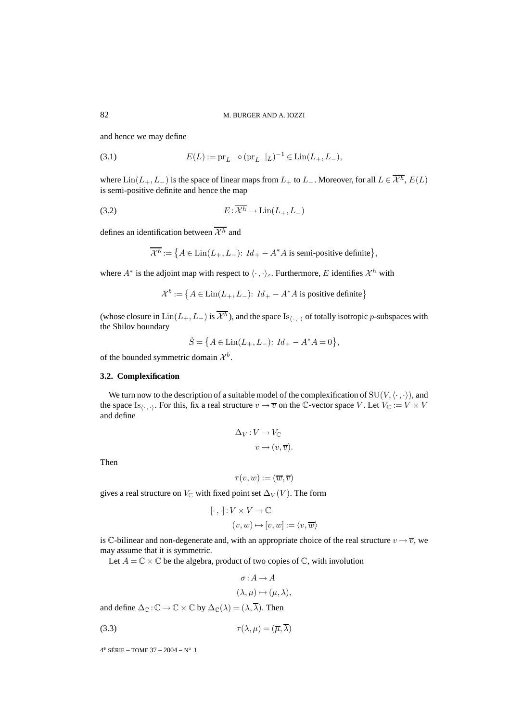and hence we may define

(3.1) 
$$
E(L) := \text{pr}_{L_{-}} \circ (\text{pr}_{L_{+}}|_{L})^{-1} \in \text{Lin}(L_{+}, L_{-}),
$$

where  $\text{Lin}(L_+, L_-)$  is the space of linear maps from  $L_+$  to  $L_-$ . Moreover, for all  $L \in \overline{\mathcal{X}^h}$ ,  $E(L)$ is semi-positive definite and hence the map

(3.2) 
$$
E: \overline{\mathcal{X}^h} \to \text{Lin}(L_+, L_-)
$$

defines an identification between  $\overline{\mathcal{X}^h}$  and

$$
\overline{\mathcal{X}^b} := \left\{ A \in \text{Lin}(L_+, L_-): \, Id_+ - A^*A \text{ is semi-positive definite} \right\},
$$

where  $A^*$  is the adjoint map with respect to  $\langle \cdot, \cdot \rangle_{\varepsilon}$ . Furthermore, E identifies  $\mathcal{X}^h$  with

$$
\mathcal{X}^b := \left\{ A \in \text{Lin}(L_+, L_-): \, Id_+ - A^*A \text{ is positive definite} \right\}
$$

(whose closure in  $\text{Lin}(L_+, L_-)$  is  $\overline{\mathcal{X}^b}$ ), and the space Is<sub> $\langle \cdot, \cdot \rangle$ </sub> of totally isotropic p-subspaces with the Shilov boundary

$$
\check{S} = \big\{ A \in \text{Lin}(L_+, L_-) \colon \, Id_+ - A^*A = 0 \big\},
$$

of the bounded symmetric domain  $\mathcal{X}^b$ .

# **3.2. Complexification**

We turn now to the description of a suitable model of the complexification of  $SU(V, \langle \cdot, \cdot \rangle)$ , and the space Is<sub>(., .)</sub>. For this, fix a real structure  $v \to \overline{v}$  on the C-vector space V. Let  $V_C := V \times V$ and define

$$
\Delta_V : V \to V_{\mathbb{C}}
$$

$$
v \mapsto (v, \overline{v}).
$$

Then

$$
\tau(v,w):=(\overline{w},\overline{v})
$$

gives a real structure on  $V_{\mathbb{C}}$  with fixed point set  $\Delta_V(V)$ . The form

$$
\begin{aligned} [\cdot \, , \cdot] \colon & V \times V \to \mathbb{C} \\ (v, w) & \mapsto [v, w] := \langle v, \overline{w} \rangle \end{aligned}
$$

is C-bilinear and non-degenerate and, with an appropriate choice of the real structure  $v \to \overline{v}$ , we may assume that it is symmetric.

Let  $A = \mathbb{C} \times \mathbb{C}$  be the algebra, product of two copies of  $\mathbb{C}$ , with involution

$$
\sigma: A \to A
$$

$$
(\lambda, \mu) \mapsto (\mu, \lambda),
$$

and define  $\Delta_{\mathbb{C}} : \mathbb{C} \to \mathbb{C} \times \mathbb{C}$  by  $\Delta_{\mathbb{C}}(\lambda) = (\lambda, \overline{\lambda})$ . Then

$$
\tau(\lambda, \mu) = (\overline{\mu}, \overline{\lambda})
$$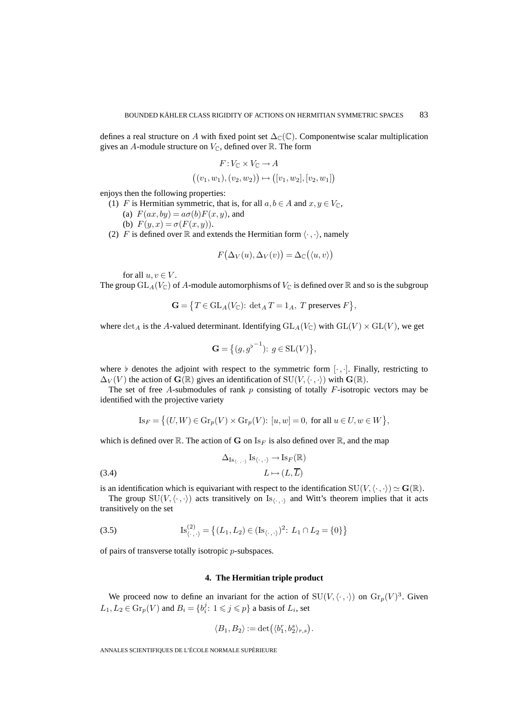defines a real structure on A with fixed point set  $\Delta_{\mathbb{C}}(\mathbb{C})$ . Componentwise scalar multiplication gives an A-module structure on  $V_{\mathbb{C}}$ , defined over  $\mathbb{R}$ . The form

$$
F: V_{\mathbb{C}} \times V_{\mathbb{C}} \to A
$$

$$
((v_1, w_1), (v_2, w_2)) \mapsto ([v_1, w_2], [v_2, w_1])
$$

enjoys then the following properties:

- (1) F is Hermitian symmetric, that is, for all  $a, b \in A$  and  $x, y \in V_{\mathbb{C}}$ ,
	- (a)  $F(ax, by) = a\sigma(b)F(x, y)$ , and

(b) 
$$
F(y, x) = \sigma(F(x, y)).
$$

(2) F is defined over R and extends the Hermitian form  $\langle \cdot, \cdot \rangle$ , namely

$$
F(\Delta_V(u), \Delta_V(v)) = \Delta_{\mathbb{C}}(\langle u, v \rangle)
$$

for all  $u, v \in V$ .

The group  $GL_A(V_{\mathbb{C}})$  of A-module automorphisms of  $V_{\mathbb{C}}$  is defined over  $\mathbb R$  and so is the subgroup

$$
\mathbf{G} = \{ T \in GL_A(V_{\mathbb{C}}): \det_A T = 1_A, T \text{ preserves } F \},
$$

where  $\det_A$  is the A-valued determinant. Identifying  $GL_A(V_{\mathbb{C}})$  with  $GL(V) \times GL(V)$ , we get

$$
\mathbf{G} = \left\{ (g, g^{\flat^{-1}}) : g \in SL(V) \right\},\
$$

where  $\flat$  denotes the adjoint with respect to the symmetric form  $[\cdot, \cdot]$ . Finally, restricting to  $\Delta_V(V)$  the action of  $\mathbf{G}(\mathbb{R})$  gives an identification of  $SU(V,\langle\cdot,\cdot\rangle)$  with  $\mathbf{G}(\mathbb{R})$ .

The set of free A-submodules of rank  $p$  consisting of totally  $F$ -isotropic vectors may be identified with the projective variety

$$
\mathrm{Is}_F = \left\{ (U, W) \in \mathrm{Gr}_p(V) \times \mathrm{Gr}_p(V): [u, w] = 0, \text{ for all } u \in U, w \in W \right\},\
$$

which is defined over  $\mathbb{R}$ . The action of **G** on  $I_{S_F}$  is also defined over  $\mathbb{R}$ , and the map

(3.4) 
$$
\Delta_{\text{Is}_{\langle \cdot, \cdot, \cdot \rangle}} \text{Is}_{\langle \cdot, \cdot, \cdot \rangle} \to \text{Is}_{F}(\mathbb{R})
$$

$$
L \mapsto (L, \overline{L})
$$

is an identification which is equivariant with respect to the identification  $SU(V, \langle \cdot, \cdot \rangle) \simeq G(\mathbb{R})$ .

The group  $SU(V, \langle \cdot, \cdot \rangle)$  acts transitively on  $Is_{\langle \cdot, \cdot \rangle}$  and Witt's theorem implies that it acts transitively on the set

(3.5) 
$$
\mathrm{Is}_{\langle \cdot, \cdot \rangle}^{(2)} = \left\{ (L_1, L_2) \in (\mathrm{Is}_{\langle \cdot, \cdot \rangle})^2 : L_1 \cap L_2 = \{0\} \right\}
$$

of pairs of transverse totally isotropic p-subspaces.

# **4. The Hermitian triple product**

We proceed now to define an invariant for the action of  $SU(V, \langle \cdot, \cdot \rangle)$  on  $\text{Gr}_p(V)^3$ . Given  $L_1, L_2 \in \mathrm{Gr}_p(V)$  and  $B_i = \{b_i^j : 1 \leq j \leq p\}$  a basis of  $L_i$ , set

$$
\langle B_1, B_2 \rangle := \det \bigl( \langle b_1^r, b_2^s \rangle_{r,s} \bigr).
$$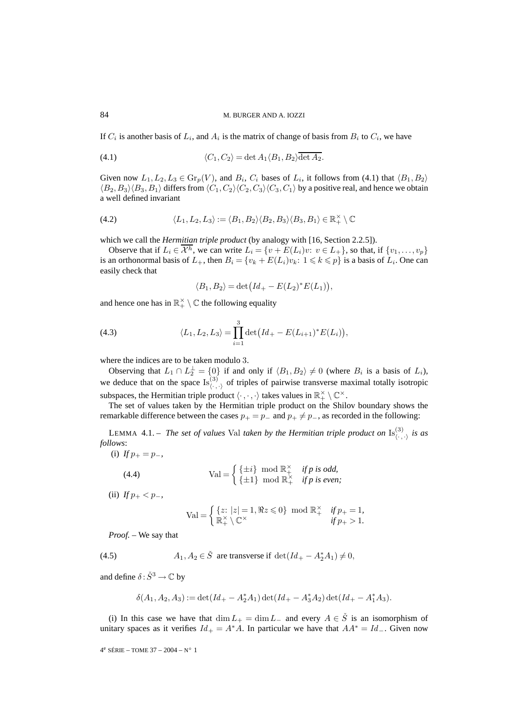If  $C_i$  is another basis of  $L_i$ , and  $A_i$  is the matrix of change of basis from  $B_i$  to  $C_i$ , we have

(4.1) 
$$
\langle C_1, C_2 \rangle = \det A_1 \langle B_1, B_2 \rangle \overline{\det A_2}.
$$

Given now  $L_1, L_2, L_3 \in \text{Gr}_p(V)$ , and  $B_i, C_i$  bases of  $L_i$ , it follows from (4.1) that  $\langle B_1, B_2 \rangle$  $\langle B_2, B_3\rangle \langle B_3, B_1\rangle$  differs from  $\langle C_1, C_2\rangle \langle C_2, C_3\rangle \langle C_3, C_1\rangle$  by a positive real, and hence we obtain a well defined invariant

(4.2) 
$$
\langle L_1, L_2, L_3 \rangle := \langle B_1, B_2 \rangle \langle B_2, B_3 \rangle \langle B_3, B_1 \rangle \in \mathbb{R}_+^{\times} \setminus \mathbb{C}
$$

which we call the *Hermitian triple product* (by analogy with [16, Section 2.2.5]).

Observe that if  $L_i \in \mathcal{X}^h$ , we can write  $L_i = \{v + E(L_i)v: v \in L_+\}$ , so that, if  $\{v_1, \ldots, v_p\}$ is an orthonormal basis of  $L_+$ , then  $B_i = \{v_k + E(L_i)v_k : 1 \leq k \leq p\}$  is a basis of  $L_i$ . One can easily check that

$$
\langle B_1, B_2 \rangle = \det \bigl( Id_+ - E(L_2)^* E(L_1) \bigr),
$$

and hence one has in  $\mathbb{R}^{\times}_{+} \setminus \mathbb{C}$  the following equality

(4.3) 
$$
\langle L_1, L_2, L_3 \rangle = \prod_{i=1}^3 \det \big( Id_+ - E(L_{i+1})^* E(L_i) \big),
$$

where the indices are to be taken modulo 3.

Observing that  $L_1 \cap L_2^{\perp} = \{0\}$  if and only if  $\langle B_1, B_2 \rangle \neq 0$  (where  $B_i$  is a basis of  $L_i$ ), we deduce that on the space  $\text{Is}^{(3)}_{\langle \cdot, \cdot \rangle}$  of triples of pairwise transverse maximal totally isotropic subspaces, the Hermitian triple product  $\langle \cdot, \cdot, \cdot \rangle$  takes values in  $\mathbb{R}^{\times}_+ \setminus \mathbb{C}^{\times}$ .

The set of values taken by the Hermitian triple product on the Shilov boundary shows the remarkable difference between the cases  $p_+ = p_-$  and  $p_+ \neq p_-$ , as recorded in the following:

LEMMA 4.1. – *The set of values* Val *taken by the Hermitian triple product on*  $\text{Is}_{\langle \cdot, \cdot \rangle}^{(3)}$  *is as follows*:

(i) 
$$
f p_+ = p_-,
$$

(4.4) 
$$
Val = \begin{cases} {\pm i} \mod \mathbb{R}^{\times} & \text{if } p \text{ is odd,} \\ {\pm 1} \mod \mathbb{R}^{\times} & \text{if } p \text{ is even;} \end{cases}
$$

(ii) *If*  $p_+ < p_-,$ 

$$
\text{Val} = \begin{cases} \{z: |z| = 1, \Re z \leq 0\} \mod \mathbb{R}_+^\times & \text{if } p_+ = 1, \\ \mathbb{R}_+^\times \setminus \mathbb{C}^\times & \text{if } p_+ > 1. \end{cases}
$$

*Proof. –* We say that

(4.5) 
$$
A_1, A_2 \in \check{S} \text{ are transverse if } \det(Id_+ - A_2^* A_1) \neq 0,
$$

and define  $\delta : \check{S}^3 \to \mathbb{C}$  by

$$
\delta(A_1, A_2, A_3) := \det(Id_+ - A_2^* A_1) \det(Id_+ - A_3^* A_2) \det(Id_+ - A_1^* A_3).
$$

(i) In this case we have that  $\dim L_{+} = \dim L_{-}$  and every  $A \in \check{S}$  is an isomorphism of unitary spaces as it verifies  $Id_+ = A^*A$ . In particular we have that  $AA^* = Id_-$ . Given now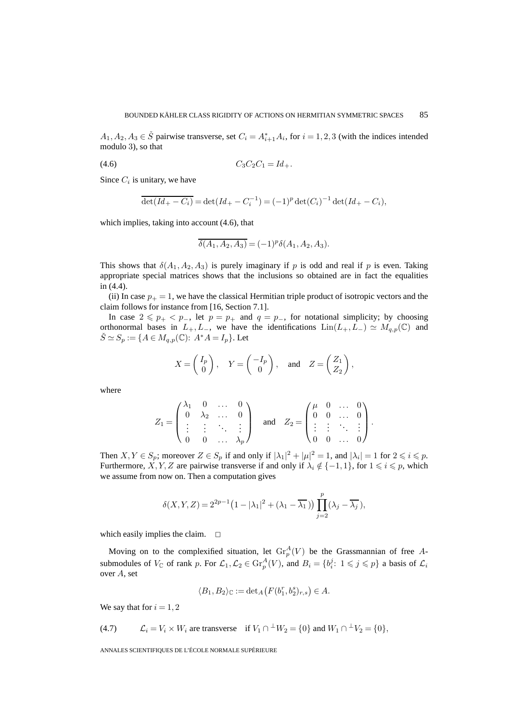$A_1, A_2, A_3 \in \check{S}$  pairwise transverse, set  $C_i = A_{i+1}^* A_i$ , for  $i = 1, 2, 3$  (with the indices intended modulo 3), so that

$$
(4.6) \tC_3C_2C_1 = Id_+.
$$

Since  $C_i$  is unitary, we have

$$
\overline{\det(Id_+ - C_i)} = \det(Id_+ - C_i^{-1}) = (-1)^p \det(C_i)^{-1} \det(Id_+ - C_i),
$$

which implies, taking into account (4.6), that

$$
\overline{\delta(A_1, A_2, A_3)} = (-1)^p \delta(A_1, A_2, A_3).
$$

This shows that  $\delta(A_1, A_2, A_3)$  is purely imaginary if p is odd and real if p is even. Taking appropriate special matrices shows that the inclusions so obtained are in fact the equalities in (4.4).

(ii) In case  $p_{+} = 1$ , we have the classical Hermitian triple product of isotropic vectors and the claim follows for instance from [16, Section 7.1].

In case  $2 \leq p_+ < p_-,$  let  $p = p_+$  and  $q = p_-,$  for notational simplicity; by choosing orthonormal bases in  $L_+, L_-,$  we have the identifications  $\text{Lin}(L_+, L_-) \simeq M_{q,p}(\mathbb{C})$  and  $S \simeq S_p := \{A \in M_{q,p}(\mathbb{C}) : A^*A = I_p\}.$  Let

$$
X = \begin{pmatrix} I_p \\ 0 \end{pmatrix}, Y = \begin{pmatrix} -I_p \\ 0 \end{pmatrix}, \text{ and } Z = \begin{pmatrix} Z_1 \\ Z_2 \end{pmatrix},
$$

where

$$
Z_1 = \begin{pmatrix} \lambda_1 & 0 & \dots & 0 \\ 0 & \lambda_2 & \dots & 0 \\ \vdots & \vdots & \ddots & \vdots \\ 0 & 0 & \dots & \lambda_p \end{pmatrix} \text{ and } Z_2 = \begin{pmatrix} \mu & 0 & \dots & 0 \\ 0 & 0 & \dots & 0 \\ \vdots & \vdots & \ddots & \vdots \\ 0 & 0 & \dots & 0 \end{pmatrix}.
$$

Then  $X, Y \in S_p$ ; moreover  $Z \in S_p$  if and only if  $|\lambda_1|^2 + |\mu|^2 = 1$ , and  $|\lambda_i| = 1$  for  $2 \leq i \leq p$ . Furthermore, X, Y, Z are pairwise transverse if and only if  $\lambda_i \notin \{-1,1\}$ , for  $1 \leq i \leq p$ , which we assume from now on. Then a computation gives

$$
\delta(X,Y,Z)=2^{2p-1}\big(1-|\lambda_1|^2+(\lambda_1-\overline{\lambda_1}\,)\big)\prod_{j=2}^p(\lambda_j-\overline{\lambda_j}\,),
$$

which easily implies the claim.  $\Box$ 

Moving on to the complexified situation, let  $\mathrm{Gr}^A_p(V)$  be the Grassmannian of free Asubmodules of  $V_{\mathbb{C}}$  of rank p. For  $\mathcal{L}_1, \mathcal{L}_2 \in \text{Gr}_p^A(V)$ , and  $B_i = \{b_i^j : 1 \leq j \leq p\}$  a basis of  $\mathcal{L}_i$ over A, set

$$
\langle B_1, B_2 \rangle_{\mathbb{C}} := \det_A \left( F(b_1^r, b_2^s)_{r,s} \right) \in A.
$$

We say that for  $i = 1, 2$ 

(4.7) 
$$
\mathcal{L}_i = V_i \times W_i \text{ are transverse} \quad \text{if } V_1 \cap {}^{\perp} W_2 = \{0\} \text{ and } W_1 \cap {}^{\perp} V_2 = \{0\},
$$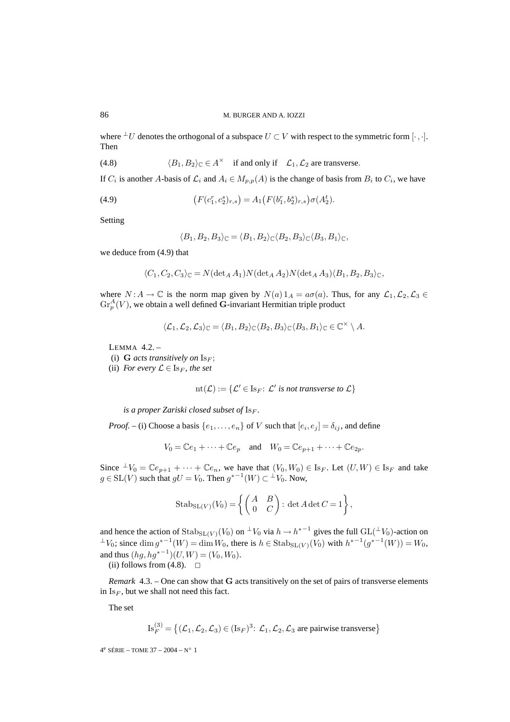where  $\perp U$  denotes the orthogonal of a subspace  $U \subset V$  with respect to the symmetric form  $[\cdot, \cdot].$ Then

(4.8) 
$$
\langle B_1, B_2 \rangle_{\mathbb{C}} \in A^{\times} \text{ if and only if } \mathcal{L}_1, \mathcal{L}_2 \text{ are transverse.}
$$

If  $C_i$  is another A-basis of  $\mathcal{L}_i$  and  $A_i \in M_{p,p}(A)$  is the change of basis from  $B_i$  to  $C_i$ , we have

(4.9) 
$$
(F(c_1^r, c_2^s)_{r,s}) = A_1 (F(b_1^r, b_2^s)_{r,s}) \sigma(A_2^t).
$$

Setting

$$
\langle B_1, B_2, B_3 \rangle_{\mathbb{C}} = \langle B_1, B_2 \rangle_{\mathbb{C}} \langle B_2, B_3 \rangle_{\mathbb{C}} \langle B_3, B_1 \rangle_{\mathbb{C}},
$$

we deduce from (4.9) that

$$
\langle C_1, C_2, C_3 \rangle_{\mathbb{C}} = N(\det_A A_1) N(\det_A A_2) N(\det_A A_3) \langle B_1, B_2, B_3 \rangle_{\mathbb{C}},
$$

where  $N : A \to \mathbb{C}$  is the norm map given by  $N(a) 1_A = a\sigma(a)$ . Thus, for any  $\mathcal{L}_1, \mathcal{L}_2, \mathcal{L}_3 \in$  $\mathrm{Gr}^A_p(V)$ , we obtain a well defined **G**-invariant Hermitian triple product

$$
\langle \mathcal{L}_1, \mathcal{L}_2, \mathcal{L}_3 \rangle_{\mathbb{C}} = \langle B_1, B_2 \rangle_{\mathbb{C}} \langle B_2, B_3 \rangle_{\mathbb{C}} \langle B_3, B_1 \rangle_{\mathbb{C}} \in \mathbb{C}^\times \setminus A.
$$

LEMMA 4.2. –

- (i)  $G$  *acts transitively on*  $Is_F$ ;
- (ii) *For every*  $\mathcal{L} \in \mathrm{Is}_F$ *, the set*

$$
nt(\mathcal{L}) := \{ \mathcal{L}' \in Is_F : \mathcal{L}' \text{ is not transverse to } \mathcal{L} \}
$$

*is a proper Zariski closed subset of*  $I_{S_F}$ *.* 

*Proof.* – (i) Choose a basis  $\{e_1, \ldots, e_n\}$  of V such that  $[e_i, e_j] = \delta_{ij}$ , and define

$$
V_0 = \mathbb{C}e_1 + \dots + \mathbb{C}e_p \quad \text{and} \quad W_0 = \mathbb{C}e_{p+1} + \dots + \mathbb{C}e_{2p}.
$$

Since  $\perp V_0 = \mathbb{C}e_{p+1} + \cdots + \mathbb{C}e_n$ , we have that  $(V_0, W_0) \in \text{Is}_F$ . Let  $(U, W) \in \text{Is}_F$  and take  $g \in SL(V)$  such that  $gU = V_0$ . Then  $g^{*-1}(W) \subset {}^{\perp}V_0$ . Now,

$$
\mathrm{Stab}_{\mathrm{SL}(V)}(V_0) = \left\{ \begin{pmatrix} A & B \\ 0 & C \end{pmatrix} : \det A \det C = 1 \right\},\,
$$

and hence the action of  $\text{Stab}_{SL(V)}(V_0)$  on  $\perp V_0$  via  $h \to h^{*-1}$  gives the full  $GL(\perp V_0)$ -action on  $\perp V_0$ ; since  $\dim g^{*-1}(W) = \dim W_0$ , there is  $h \in \text{Stab}_{\text{SL}(V)}(V_0)$  with  $h^{*-1}(g^{*-1}(W)) = W_0$ , and thus  $(hg, hg^{*^{-1}})(U, W) = (V_0, W_0)$ .

(ii) follows from  $(4.8)$ .  $\Box$ 

*Remark* 4.3. – One can show that **G** acts transitively on the set of pairs of transverse elements in  $Is_F$ , but we shall not need this fact.

The set

$$
\operatorname{Is}_{F}^{(3)} = \left\{ (\mathcal{L}_{1}, \mathcal{L}_{2}, \mathcal{L}_{3}) \in (\operatorname{Is}_{F})^{3} : \mathcal{L}_{1}, \mathcal{L}_{2}, \mathcal{L}_{3} \text{ are pairwise transverse} \right\}
$$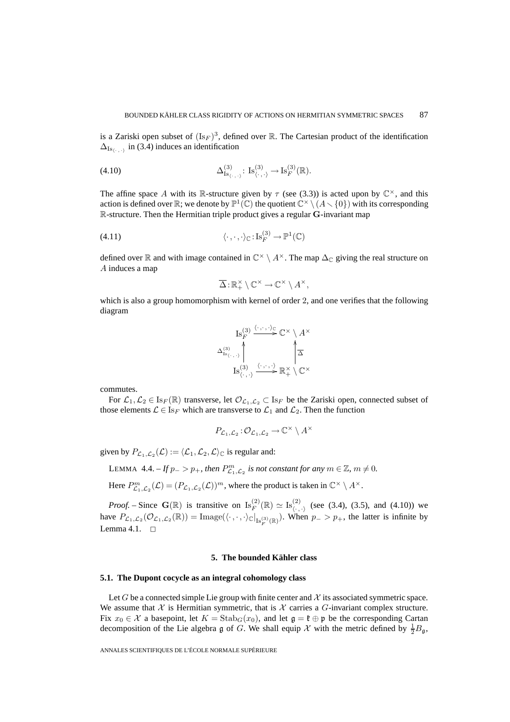is a Zariski open subset of  $(Is_F)^3$ , defined over R. The Cartesian product of the identification  $\Delta_{\text{Is}}$  in (3.4) induces an identification

(4.10) 
$$
\Delta_{\mathrm{Is}_{\langle \cdot,\cdot\rangle}}^{(3)}\colon \mathrm{Is}_{\langle \cdot,\cdot\rangle}^{(3)}\to \mathrm{Is}_{F}^{(3)}(\mathbb{R}).
$$

The affine space A with its R-structure given by  $\tau$  (see (3.3)) is acted upon by  $\mathbb{C}^{\times}$ , and this action is defined over  $\mathbb{R}$ ; we denote by  $\mathbb{P}^1(\mathbb{C})$  the quotient  $\mathbb{C}^{\times} \setminus (A \setminus \{0\})$  with its corresponding R-structure. Then the Hermitian triple product gives a regular **G**-invariant map

(4.11) 
$$
\langle \cdot, \cdot, \cdot \rangle_{\mathbb{C}} : \text{Is}_{F}^{(3)} \to \mathbb{P}^{1}(\mathbb{C})
$$

defined over R and with image contained in  $\mathbb{C}^{\times} \setminus A^{\times}$ . The map  $\Delta_{\mathbb{C}}$  giving the real structure on A induces a map

$$
\overline{\Delta}: \mathbb{R}_+^{\times} \setminus \mathbb{C}^{\times} \to \mathbb{C}^{\times} \setminus A^{\times},
$$

which is also a group homomorphism with kernel of order 2, and one verifies that the following diagram



commutes.

For  $\mathcal{L}_1,\mathcal{L}_2 \in \text{Is}_F(\mathbb{R})$  transverse, let  $\mathcal{O}_{\mathcal{L}_1,\mathcal{L}_2} \subset \text{Is}_F$  be the Zariski open, connected subset of those elements  $\mathcal{L} \in \mathrm{Is}_F$  which are transverse to  $\mathcal{L}_1$  and  $\mathcal{L}_2$ . Then the function

$$
P_{\mathcal{L}_1,\mathcal{L}_2}:\mathcal{O}_{\mathcal{L}_1,\mathcal{L}_2}\to\mathbb{C}^\times\setminus A^\times
$$

given by  $P_{\mathcal{L}_1,\mathcal{L}_2}(\mathcal{L}) := \langle \mathcal{L}_1,\mathcal{L}_2,\mathcal{L} \rangle_{\mathbb{C}}$  is regular and:

LEMMA 4.4. – *If*  $p_->p_+$ , then  $P^m_{\mathcal{L}_1,\mathcal{L}_2}$  *is not constant for any*  $m \in \mathbb{Z}$ ,  $m \neq 0$ .

Here  $P_{\mathcal{L}_1,\mathcal{L}_2}^m(\mathcal{L})=(P_{\mathcal{L}_1,\mathcal{L}_2}(\mathcal{L}))^m$ , where the product is taken in  $\mathbb{C}^\times \setminus A^\times$ .

*Proof.* – Since  $\mathbf{G}(\mathbb{R})$  is transitive on  $\text{Is}_{F}^{(2)}(\mathbb{R}) \simeq \text{Is}_{\langle \cdot, \cdot \rangle}^{(2)}$  (see (3.4), (3.5), and (4.10)) we have  $P_{\mathcal{L}_1,\mathcal{L}_2}(\mathcal{O}_{\mathcal{L}_1,\mathcal{L}_2}(\mathbb{R})) = \text{Image}(\langle \cdot, \cdot, \cdot \rangle_{\mathbb{C}}|_{\text{Is}_F^{(3)}(\mathbb{R})})$ . When  $p_- > p_+$ , the latter is infinite by Lemma 4.1.  $\Box$ 

#### **5. The bounded Kähler class**

# **5.1. The Dupont cocycle as an integral cohomology class**

Let G be a connected simple Lie group with finite center and  $\mathcal X$  its associated symmetric space. We assume that  $X$  is Hermitian symmetric, that is  $X$  carries a  $G$ -invariant complex structure. Fix  $x_0 \in \mathcal{X}$  a basepoint, let  $K = \text{Stab}_G(x_0)$ , and let  $\mathfrak{g} = \mathfrak{k} \oplus \mathfrak{p}$  be the corresponding Cartan decomposition of the Lie algebra g of G. We shall equip X with the metric defined by  $\frac{1}{2}B_{\mathfrak{g}}$ ,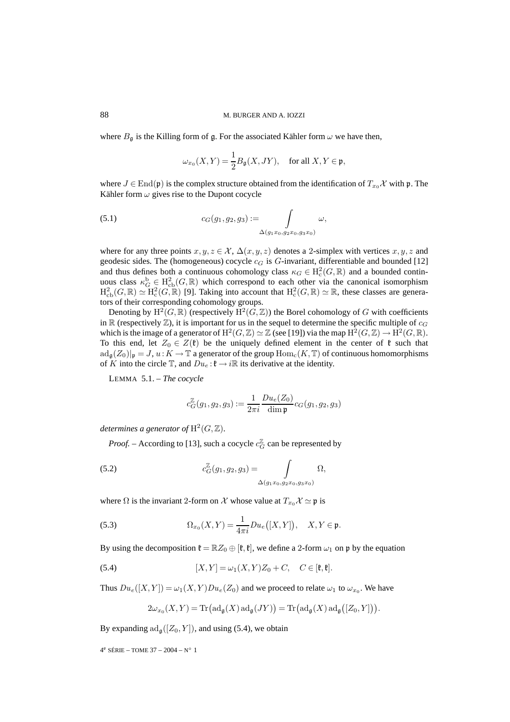where  $B_{\mathfrak{g}}$  is the Killing form of  $\mathfrak{g}$ . For the associated Kähler form  $\omega$  we have then,

$$
\omega_{x_0}(X,Y)=\frac{1}{2}B_{\mathfrak{g}}(X,JY),\quad\text{for all }X,Y\in\mathfrak{p},
$$

where  $J \in \text{End}(\mathfrak{p})$  is the complex structure obtained from the identification of  $T_{x_0}\mathcal{X}$  with p. The Kähler form  $\omega$  gives rise to the Dupont cocycle

(5.1) 
$$
c_G(g_1, g_2, g_3) := \int_{\Delta(g_1x_0, g_2x_0, g_3x_0)} \omega,
$$

where for any three points  $x, y, z \in \mathcal{X}, \Delta(x, y, z)$  denotes a 2-simplex with vertices  $x, y, z$  and geodesic sides. The (homogeneous) cocycle  $c_G$  is G-invariant, differentiable and bounded [12] and thus defines both a continuous cohomology class  $\kappa_G \in H^2_c(G, \mathbb{R})$  and a bounded continuous class  $\kappa_G^b \in H^2_{cb}(G, \mathbb{R})$  which correspond to each other via the canonical isomorphism  $H^2_{\text{cb}}(G,\mathbb{R}) \simeq H^2_{\text{c}}(G,\mathbb{R})$  [9]. Taking into account that  $H^2_{\text{c}}(G,\mathbb{R}) \simeq \mathbb{R}$ , these classes are generators of their corresponding cohomology groups.

Denoting by  $H^2(G,\mathbb{R})$  (respectively  $H^2(G,\mathbb{Z})$ ) the Borel cohomology of G with coefficients in  $\mathbb R$  (respectively  $\mathbb Z$ ), it is important for us in the sequel to determine the specific multiple of  $c_G$ which is the image of a generator of  $H^2(G, \mathbb{Z}) \simeq \mathbb{Z}$  (see [19]) via the map  $H^2(G, \mathbb{Z}) \to H^2(G, \mathbb{R})$ . To this end, let  $Z_0 \in Z(\mathfrak{k})$  be the uniquely defined element in the center of  $\mathfrak{k}$  such that  $\text{ad}_{\mathfrak{g}}(Z_0)|_{\mathfrak{p}} = J, u : K \to \mathbb{T}$  a generator of the group  $\text{Hom}_{\mathfrak{c}}(K,\mathbb{T})$  of continuous homomorphisms of K into the circle  $\mathbb{T}$ , and  $Du_e : \mathfrak{k} \to i\mathbb{R}$  its derivative at the identity.

LEMMA 5.1. – *The cocycle*

$$
c_G^{\mathbb{Z}}(g_1, g_2, g_3) := \frac{1}{2\pi i} \frac{D u_e(Z_0)}{\dim \mathfrak{p}} c_G(g_1, g_2, g_3)
$$

*determines a generator of*  $H^2(G, \mathbb{Z})$ .

*Proof.* – According to [13], such a cocycle  $c_G^{\mathbb{Z}}$  can be represented by

(5.2) 
$$
c_G^{\mathbb{Z}}(g_1, g_2, g_3) = \int_{\Delta(g_1x_0, g_2x_0, g_3x_0)} \Omega,
$$

where  $\Omega$  is the invariant 2-form on X whose value at  $T_{x_0} \mathcal{X} \simeq \mathfrak{p}$  is

(5.3) 
$$
\Omega_{x_0}(X,Y) = \frac{1}{4\pi i} Du_e([X,Y]), \quad X,Y \in \mathfrak{p}.
$$

By using the decomposition  $\mathfrak{k} = \mathbb{R}Z_0 \oplus [\mathfrak{k}, \mathfrak{k}]$ , we define a 2-form  $\omega_1$  on p by the equation

(5.4) 
$$
[X,Y] = \omega_1(X,Y)Z_0 + C, \quad C \in [\mathfrak{k},\mathfrak{k}].
$$

Thus  $Du_e([X, Y]) = \omega_1(X, Y)Du_e(Z_0)$  and we proceed to relate  $\omega_1$  to  $\omega_{x_0}$ . We have

$$
2\omega_{x_0}(X,Y) = \mathrm{Tr}\big(\mathrm{ad}_{\mathfrak{g}}(X)\,\mathrm{ad}_{\mathfrak{g}}(JY)\big) = \mathrm{Tr}\big(\mathrm{ad}_{\mathfrak{g}}(X)\,\mathrm{ad}_{\mathfrak{g}}([Z_0,Y])\big).
$$

By expanding  $\text{ad}_{\mathfrak{g}}([Z_0, Y])$ , and using (5.4), we obtain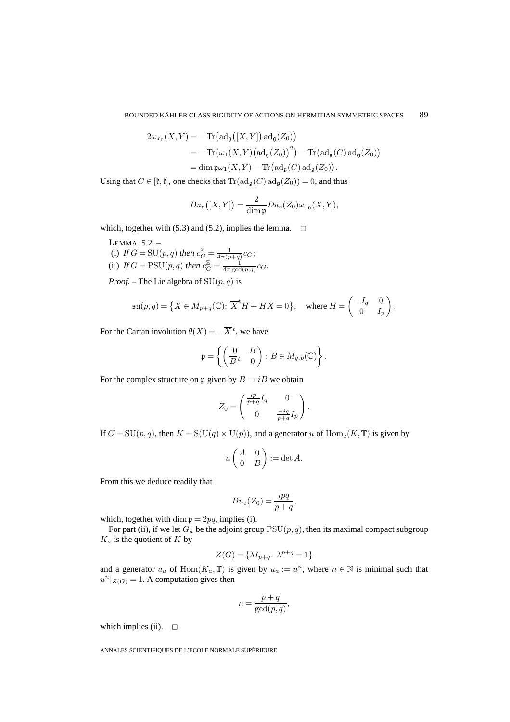$$
2\omega_{x_0}(X,Y) = -\operatorname{Tr}\left(\operatorname{ad}_{\mathfrak{g}}\left([X,Y]\right) \operatorname{ad}_{\mathfrak{g}}(Z_0)\right)
$$
  
=  $-\operatorname{Tr}\left(\omega_1(X,Y)\left(\operatorname{ad}_{\mathfrak{g}}(Z_0)\right)^2\right) - \operatorname{Tr}\left(\operatorname{ad}_{\mathfrak{g}}(C) \operatorname{ad}_{\mathfrak{g}}(Z_0)\right)$   
=  $\operatorname{dim} \mathfrak{p} \omega_1(X,Y) - \operatorname{Tr}\left(\operatorname{ad}_{\mathfrak{g}}(C) \operatorname{ad}_{\mathfrak{g}}(Z_0)\right).$ 

Using that  $C \in [\mathfrak{k}, \mathfrak{k}]$ , one checks that  $\text{Tr}(\text{ad}_{\mathfrak{a}}(C) \text{ad}_{\mathfrak{a}}(Z_0)) = 0$ , and thus

$$
Du_e([X,Y]) = \frac{2}{\dim \mathfrak{p}} Du_e(Z_0)\omega_{x_0}(X,Y),
$$

which, together with (5.3) and (5.2), implies the lemma.  $\Box$ 

LEMMA 5.2. – (i) If  $G = SU(p, q)$  then  $c_G^{\mathbb{Z}} = \frac{1}{4\pi (p+q)} c_G;$ (ii) If  $G = \text{PSU}(p, q)$  then  $c_G^{\mathbb{Z}} = \frac{1}{4\pi \gcd(p, q)} c_G^{\mathbb{Z}}$ .

*Proof.* – The Lie algebra of  $SU(p, q)$  is

$$
\mathfrak{su}(p,q) = \left\{ X \in M_{p+q}(\mathbb{C}) \colon \overline{X}^t H + H X = 0 \right\}, \quad \text{where } H = \begin{pmatrix} -I_q & 0 \\ 0 & I_p \end{pmatrix}.
$$

For the Cartan involution  $\theta(X) = -\overline{X}^t$ , we have

$$
\mathfrak{p} = \left\{ \begin{pmatrix} 0 & B \\ \overline{B}t & 0 \end{pmatrix} : B \in M_{q,p}(\mathbb{C}) \right\}.
$$

For the complex structure on p given by  $B \rightarrow iB$  we obtain

$$
Z_0 = \begin{pmatrix} \frac{ip}{p+q} I_q & 0 \\ 0 & \frac{-iq}{p+q} I_p \end{pmatrix}.
$$

If  $G = SU(p, q)$ , then  $K = S(U(q) \times U(p))$ , and a generator u of  $Hom<sub>c</sub>(K, T)$  is given by

$$
u\begin{pmatrix} A & 0 \\ 0 & B \end{pmatrix} := \det A.
$$

From this we deduce readily that

$$
Du_e(Z_0) = \frac{ipq}{p+q},
$$

which, together with dim  $p = 2pq$ , implies (i).

For part (ii), if we let  $G_a$  be the adjoint group  $PSU(p, q)$ , then its maximal compact subgroup  $K_a$  is the quotient of  $K$  by

$$
Z(G) = \{\lambda I_{p+q} \colon \lambda^{p+q} = 1\}
$$

and a generator  $u_a$  of Hom $(K_a, \mathbb{T})$  is given by  $u_a := u^n$ , where  $n \in \mathbb{N}$  is minimal such that  $u^n|_{Z(G)} = 1$ . A computation gives then

$$
n = \frac{p+q}{\gcd(p,q)},
$$

which implies (ii).  $\Box$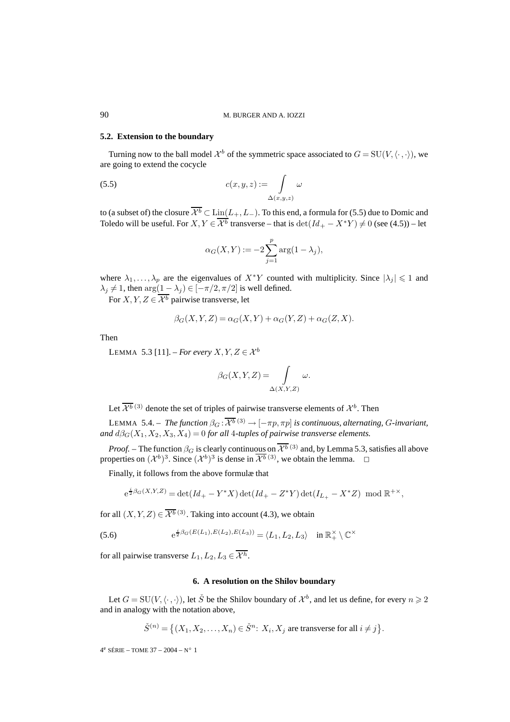# **5.2. Extension to the boundary**

Turning now to the ball model  $\mathcal{X}^b$  of the symmetric space associated to  $G = SU(V, \langle \cdot, \cdot \rangle)$ , we are going to extend the cocycle

$$
c(x, y, z) := \int_{\Delta(x, y, z)} \omega \, d(x, y, z)
$$

to (a subset of) the closure  $\overline{\mathcal{X}^b} \subset \text{Lin}(L_+, L_-)$ . To this end, a formula for (5.5) due to Domic and Toledo will be useful. For  $X, Y \in \overline{\mathcal{X}^b}$  transverse – that is  $\det(Id_+ - X^*Y) \neq 0$  (see (4.5)) – let

$$
\alpha_G(X, Y) := -2 \sum_{j=1}^p \arg(1 - \lambda_j),
$$

where  $\lambda_1, \ldots, \lambda_p$  are the eigenvalues of  $X^*Y$  counted with multiplicity. Since  $|\lambda_j| \leq 1$  and  $\lambda_j \neq 1$ , then  $\arg(1 - \lambda_j) \in [-\pi/2, \pi/2]$  is well defined.

For X, Y,  $Z \in \overline{\mathcal{X}^b}$  pairwise transverse, let

$$
\beta_G(X, Y, Z) = \alpha_G(X, Y) + \alpha_G(Y, Z) + \alpha_G(Z, X).
$$

Then

LEMMA 5.3 [11]. – *For every*  $X, Y, Z \in \mathcal{X}^b$ 

$$
\beta_G(X, Y, Z) = \int_{\Delta(X, Y, Z)} \omega.
$$

Let  $\overline{\mathcal{X}^{b}}$  (3) denote the set of triples of pairwise transverse elements of  $\mathcal{X}^{b}$ . Then

LEMMA 5.4. – *The function*  $\beta_G : \overline{\mathcal{X}^b}^{(3)} \to [-\pi p, \pi p]$  *is continuous, alternating, G-invariant, and*  $d\beta_G(X_1, X_2, X_3, X_4) = 0$  *for all* 4*-tuples of pairwise transverse elements.* 

*Proof.* – The function  $\beta_G$  is clearly continuous on  $\overline{\mathcal{X}^{b}}^{(3)}$  and, by Lemma 5.3, satisfies all above properties on  $({\cal X}^b)^3$ . Since  $({\cal X}^b)^3$  is dense in  $\overline{{\cal X}^b}^{(3)}$ , we obtain the lemma.

Finally, it follows from the above formulæ that

$$
e^{\frac{i}{2}\beta_G(X,Y,Z)} = \det(Id_+ - Y^*X) \det(Id_+ - Z^*Y) \det(I_{L_+} - X^*Z) \mod \mathbb{R}^{+\times},
$$

for all  $(X, Y, Z) \in \overline{\mathcal{X}^{b}}^{(3)}$ . Taking into account (4.3), we obtain

(5.6) 
$$
e^{\frac{i}{2}\beta_G(E(L_1),E(L_2),E(L_3))} = \langle L_1, L_2, L_3 \rangle \quad \text{in } \mathbb{R}_+^{\times} \setminus \mathbb{C}^{\times}
$$

for all pairwise transverse  $L_1, L_2, L_3 \in \overline{\mathcal{X}^h}$ .

### **6. A resolution on the Shilov boundary**

Let  $G = SU(V, \langle \cdot, \cdot \rangle)$ , let  $\check{S}$  be the Shilov boundary of  $\mathcal{X}^b$ , and let us define, for every  $n \geq 2$ and in analogy with the notation above,

$$
\check{S}^{(n)} = \left\{ (X_1, X_2, \dots, X_n) \in \check{S}^n \colon X_i, X_j \text{ are transverse for all } i \neq j \right\}.
$$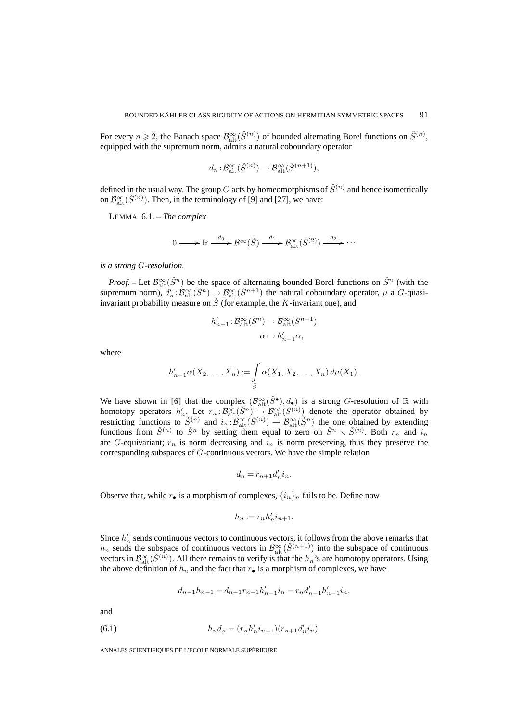For every  $n \ge 2$ , the Banach space  $\mathcal{B}_{\text{alt}}^{\infty}(\check{S}^{(n)})$  of bounded alternating Borel functions on  $\check{S}^{(n)}$ , equipped with the supremum norm, admits a natural coboundary operator

$$
d_n: \mathcal{B}^{\infty}_{\mathrm{alt}}(\check{S}^{(n)}) \to \mathcal{B}^{\infty}_{\mathrm{alt}}(\check{S}^{(n+1)}),
$$

defined in the usual way. The group G acts by homeomorphisms of  $\check{S}^{(n)}$  and hence isometrically on  $\mathcal{B}_{\text{alt}}^{\infty}(\check{S}^{(n)})$ . Then, in the terminology of [9] and [27], we have:

LEMMA 6.1. – *The complex*

$$
0 \longrightarrow \mathbb{R} \stackrel{d_0}{\longrightarrow} \mathcal{B}^{\infty}(\check{S}) \stackrel{d_1}{\longrightarrow} \mathcal{B}_{\mathrm{alt}}^{\infty}(\check{S}^{(2)}) \stackrel{d_2}{\longrightarrow} \cdots
$$

*is a strong* G*-resolution.*

*Proof.* – Let  $\mathcal{B}_{\text{alt}}^{\infty}(\check{S}^n)$  be the space of alternating bounded Borel functions on  $\check{S}^n$  (with the supremum norm),  $d'_n : \mathcal{B}_{\text{alt}}^{\infty}(\check{S}^n) \to \mathcal{B}_{\text{alt}}^{\infty}(\check{S}^{n+1})$  the natural coboundary operator,  $\mu$  a G-quasiinvariant probability measure on  $\check{S}$  (for example, the K-invariant one), and

$$
h'_{n-1}: \mathcal{B}^{\infty}_{\mathrm{alt}}(\check{S}^n) \to \mathcal{B}^{\infty}_{\mathrm{alt}}(\check{S}^{n-1})
$$

$$
\alpha \mapsto h'_{n-1}\alpha,
$$

where

$$
h'_{n-1}\alpha(X_2,\ldots,X_n) := \int\limits_{\check{S}} \alpha(X_1,X_2,\ldots,X_n) d\mu(X_1).
$$

We have shown in [6] that the complex  $(\mathcal{B}_{\text{alt}}^{\infty}(\check{S}^{\bullet}), d_{\bullet})$  is a strong G-resolution of R with homotopy operators  $h'_n$ . Let  $r_n : \mathcal{B}_{\text{alt}}^{\infty}(\check{S}^n) \to \mathcal{B}_{\text{alt}}^{\infty}(\check{S}^{(n)})$  denote the operator obtained by restricting functions to  $\check{S}^{(n)}$  and  $i_n : \mathcal{B}_{\text{alt}}^{\infty}(\check{S}^{(n)}) \to \mathcal{B}_{\text{alt}}^{\infty}(\check{S}^{n})$  the one obtained by extending functions from  $\check{S}^{(n)}$  to  $\check{S}^n$  by setting them equal to zero on  $\check{S}^n \setminus \check{S}^{(n)}$ . Both  $r_n$  and  $i_n$ are G-equivariant;  $r_n$  is norm decreasing and  $\hat{i}_n$  is norm preserving, thus they preserve the corresponding subspaces of G-continuous vectors. We have the simple relation

$$
d_n = r_{n+1} d'_n i_n.
$$

Observe that, while  $r_{\bullet}$  is a morphism of complexes,  $\{i_n\}_n$  fails to be. Define now

$$
h_n := r_n h'_n i_{n+1}.
$$

Since  $h'_n$  sends continuous vectors to continuous vectors, it follows from the above remarks that  $h_n$  sends the subspace of continuous vectors in  $\mathcal{B}_{\text{alt}}^{\infty}(\check{S}^{(n+1)})$  into the subspace of continuous vectors in  $\mathcal{B}_{\text{alt}}^{\infty}(\check{S}^{(n)})$ . All there remains to verify is that the  $h_n$ 's are homotopy operators. Using the above definition of  $h_n$  and the fact that  $r_{\bullet}$  is a morphism of complexes, we have

$$
d_{n-1}h_{n-1} = d_{n-1}r_{n-1}h'_{n-1}i_n = r_nd'_{n-1}h'_{n-1}i_n,
$$

and

(6.1) 
$$
h_n d_n = (r_n h'_n i_{n+1})(r_{n+1} d'_n i_n).
$$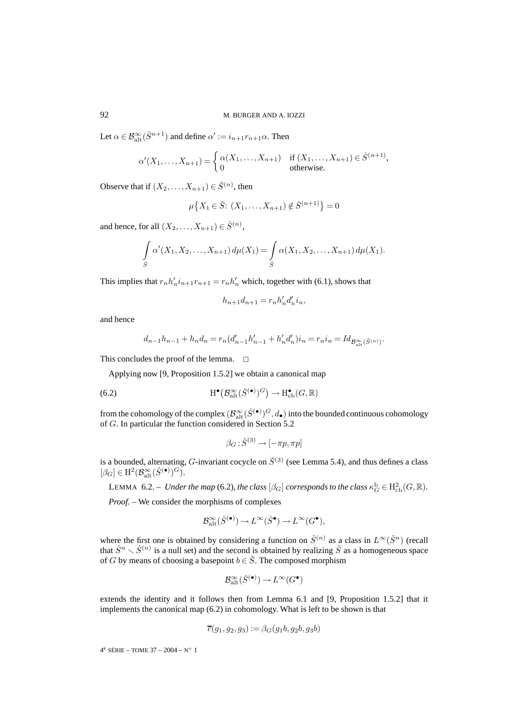Let  $\alpha \in \mathcal{B}^{\infty}_{\mathrm{alt}}(\check{S}^{n+1})$  and define  $\alpha':=i_{n+1}r_{n+1}\alpha$ . Then

$$
\alpha'(X_1,\ldots,X_{n+1}) = \begin{cases} \alpha(X_1,\ldots,X_{n+1}) & \text{if } (X_1,\ldots,X_{n+1}) \in \check{S}^{(n+1)}, \\ 0 & \text{otherwise.} \end{cases}
$$

Observe that if  $(X_2, \ldots, X_{n+1}) \in \check{S}^{(n)}$ , then

$$
\mu\big\{X_1 \in \check{S}: (X_1, \dots, X_{n+1}) \notin \check{S}^{(n+1)}\big\} = 0
$$

and hence, for all  $(X_2,...,X_{n+1}) \in \check{S}^{(n)}$ ,

$$
\int_{\tilde{S}} \alpha'(X_1, X_2, \dots, X_{n+1}) d\mu(X_1) = \int_{\tilde{S}} \alpha(X_1, X_2, \dots, X_{n+1}) d\mu(X_1).
$$

This implies that  $r_n h'_n i_{n+1}r_{n+1} = r_n h'_n$  which, together with (6.1), shows that

$$
h_{n+1}d_{n+1} = r_n h'_n d'_n i_n,
$$

and hence

$$
d_{n-1}h_{n-1} + h_nd_n = r_n(d'_{n-1}h'_{n-1} + h'_nd'_n)i_n = r_n i_n = Id_{\mathcal{B}^{\infty}_{\text{alt}}(\check{S}^{(n)})}.
$$

This concludes the proof of the lemma.  $\Box$ 

Applying now [9, Proposition 1.5.2] we obtain a canonical map

(6.2) 
$$
H^{\bullet}\big(\mathcal{B}_{\mathrm{alt}}^{\infty}(\check{S}^{(\bullet)})^G\big) \to H^{\bullet}_{\mathrm{cb}}(G,\mathbb{R})
$$

from the cohomology of the complex  $(\mathcal{B}^\infty_{\rm alt}(\check{S}^{(\bullet)})^G,d_\bullet)$  into the bounded continuous cohomology of G. In particular the function considered in Section 5.2

$$
\beta_G : \check{S}^{(3)} \to [-\pi p, \pi p]
$$

is a bounded, alternating, G-invariant cocycle on  $\check{S}^{(3)}$  (see Lemma 5.4), and thus defines a class  $[\beta_G] \in \mathrm{H}^2(\mathcal{B}^\infty_{\mathrm{alt}}(\check{S}^{(\bullet)})^G).$ 

LEMMA 6.2. – *Under the map* (6.2), the class  $[\beta_G]$  corresponds to the class  $\kappa_G^{\rm b} \in H^2_{\rm cb}(G,{\mathbb R}).$ 

*Proof. –* We consider the morphisms of complexes

$$
\mathcal{B}^{\infty}_{\mathrm{alt}}(\check{S}^{(\bullet)}) \to L^{\infty}(\check{S}^{\bullet}) \to L^{\infty}(G^{\bullet}),
$$

where the first one is obtained by considering a function on  $\check{S}^{(n)}$  as a class in  $L^{\infty}(\check{S}^n)$  (recall that  $\check{S}^n \setminus \check{S}^{(n)}$  is a null set) and the second is obtained by realizing  $\check{S}$  as a homogeneous space of G by means of choosing a basepoint  $b \in \check{S}$ . The composed morphism

$$
\mathcal{B}^{\infty}_{\mathrm{alt}}(\check{S}^{(\bullet)}) \to L^{\infty}(G^{\bullet})
$$

extends the identity and it follows then from Lemma 6.1 and [9, Proposition 1.5.2] that it implements the canonical map (6.2) in cohomology. What is left to be shown is that

$$
\overline{c}(g_1,g_2,g_3):=\beta_G(g_1b,g_2b,g_3b)
$$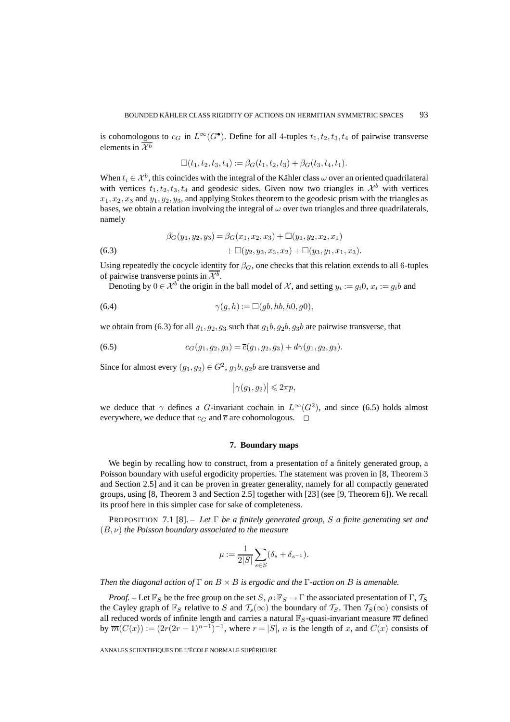is cohomologous to  $c_G$  in  $L^\infty(G^{\bullet})$ . Define for all 4-tuples  $t_1, t_2, t_3, t_4$  of pairwise transverse elements in  $\overline{\mathcal{X}^b}$ 

$$
\Box(t_1, t_2, t_3, t_4) := \beta_G(t_1, t_2, t_3) + \beta_G(t_3, t_4, t_1).
$$

When  $t_i \in \mathcal{X}^b$ , this coincides with the integral of the Kähler class  $\omega$  over an oriented quadrilateral with vertices  $t_1, t_2, t_3, t_4$  and geodesic sides. Given now two triangles in  $\mathcal{X}^b$  with vertices  $x_1, x_2, x_3$  and  $y_1, y_2, y_3$ , and applying Stokes theorem to the geodesic prism with the triangles as bases, we obtain a relation involving the integral of  $\omega$  over two triangles and three quadrilaterals, namely

(6.3) 
$$
\beta_G(y_1, y_2, y_3) = \beta_G(x_1, x_2, x_3) + \Box(y_1, y_2, x_2, x_1) \n+ \Box(y_2, y_3, x_3, x_2) + \Box(y_3, y_1, x_1, x_3).
$$

Using repeatedly the cocycle identity for  $\beta_G$ , one checks that this relation extends to all 6-tuples of pairwise transverse points in  $\mathcal{X}^b$ .

Denoting by  $0 \in \mathcal{X}^b$  the origin in the ball model of X, and setting  $y_i := g_i 0$ ,  $x_i := g_i b$  and

(6.4) 
$$
\gamma(g,h) := \Box(gb, hb, h0, g0),
$$

we obtain from (6.3) for all  $g_1, g_2, g_3$  such that  $g_1b, g_2b, g_3b$  are pairwise transverse, that

(6.5) 
$$
c_G(g_1, g_2, g_3) = \overline{c}(g_1, g_2, g_3) + d\gamma(g_1, g_2, g_3).
$$

Since for almost every  $(q_1, q_2) \in G^2$ ,  $q_1b, q_2b$  are transverse and

$$
\big|\gamma(g_1,g_2)\big|\leqslant 2\pi p,
$$

we deduce that  $\gamma$  defines a G-invariant cochain in  $L^{\infty}(G^2)$ , and since (6.5) holds almost everywhere, we deduce that  $c_G$  and  $\overline{c}$  are cohomologous.  $\Box$ 

#### **7. Boundary maps**

We begin by recalling how to construct, from a presentation of a finitely generated group, a Poisson boundary with useful ergodicity properties. The statement was proven in [8, Theorem 3 and Section 2.5] and it can be proven in greater generality, namely for all compactly generated groups, using [8, Theorem 3 and Section 2.5] together with [23] (see [9, Theorem 6]). We recall its proof here in this simpler case for sake of completeness.

PROPOSITION 7.1 [8]. – *Let* Γ *be a finitely generated group,* S *a finite generating set and* (B,ν) *the Poisson boundary associated to the measure*

$$
\mu := \frac{1}{2|S|} \sum_{s \in S} (\delta_s + \delta_{s^{-1}}).
$$

*Then the diagonal action of* Γ *on* B × B *is ergodic and the* Γ*-action on* B *is amenable.*

*Proof.* – Let  $\mathbb{F}_S$  be the free group on the set  $S$ ,  $\rho : \mathbb{F}_S \to \Gamma$  the associated presentation of  $\Gamma$ ,  $T_S$ the Cayley graph of  $\mathbb{F}_S$  relative to S and  $\mathcal{T}_s(\infty)$  the boundary of  $\mathcal{T}_S$ . Then  $\mathcal{T}_S(\infty)$  consists of all reduced words of infinite length and carries a natural  $\mathbb{F}_S$ -quasi-invariant measure  $\overline{m}$  defined by  $\overline{m}(C(x)) := (2r(2r-1)^{n-1})^{-1}$ , where  $r = |S|$ , n is the length of x, and  $C(x)$  consists of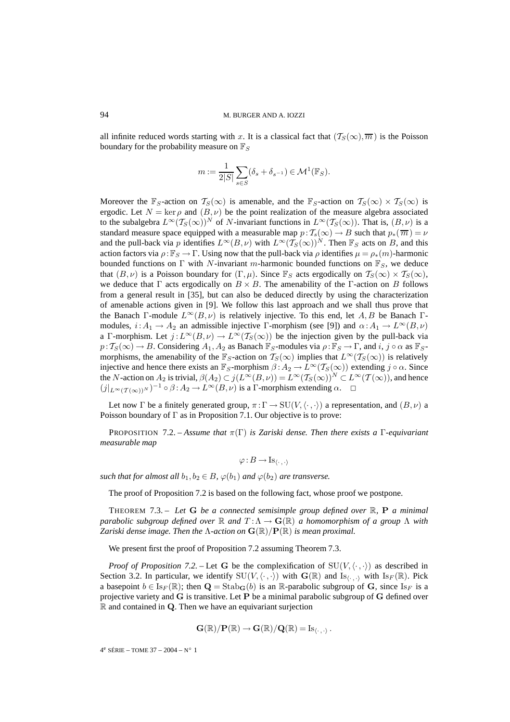all infinite reduced words starting with x. It is a classical fact that  $(\mathcal{T}_S(\infty), \overline{m})$  is the Poisson boundary for the probability measure on  $\mathbb{F}_S$ 

$$
m := \frac{1}{2|S|} \sum_{s \in S} (\delta_s + \delta_{s^{-1}}) \in \mathcal{M}^1(\mathbb{F}_S).
$$

Moreover the  $\mathbb{F}_S$ -action on  $\mathcal{T}_S(\infty)$  is amenable, and the  $\mathbb{F}_S$ -action on  $\mathcal{T}_S(\infty) \times \mathcal{T}_S(\infty)$  is ergodic. Let  $N = \ker \rho$  and  $(B, \nu)$  be the point realization of the measure algebra associated to the subalgebra  $L^{\infty}(T_S(\infty))^N$  of N-invariant functions in  $L^{\infty}(T_S(\infty))$ . That is,  $(B, \nu)$  is a standard measure space equipped with a measurable map  $p : T_s(\infty) \to B$  such that  $p_*(\overline{m}) = \nu$ and the pull-back via p identifies  $L^{\infty}(B,\nu)$  with  $L^{\infty}(\mathcal{T}_S(\infty))^N$ . Then  $\mathbb{F}_S$  acts on B, and this action factors via  $\rho: \mathbb{F}_S \to \Gamma$ . Using now that the pull-back via  $\rho$  identifies  $\mu = \rho_*(m)$ -harmonic bounded functions on  $\Gamma$  with N-invariant m-harmonic bounded functions on  $\mathbb{F}_S$ , we deduce that  $(B, \nu)$  is a Poisson boundary for  $(\Gamma, \mu)$ . Since  $\mathbb{F}_S$  acts ergodically on  $\mathcal{T}_S(\infty) \times \mathcal{T}_S(\infty)$ , we deduce that  $\Gamma$  acts ergodically on  $B \times B$ . The amenability of the Γ-action on B follows from a general result in [35], but can also be deduced directly by using the characterization of amenable actions given in [9]. We follow this last approach and we shall thus prove that the Banach Γ-module  $L^{\infty}(B,\nu)$  is relatively injective. To this end, let A, B be Banach Γmodules,  $i: A_1 \to A_2$  an admissible injective Γ-morphism (see [9]) and  $\alpha: A_1 \to L^{\infty}(B, \nu)$ a Γ-morphism. Let  $j: L^{\infty}(B, \nu) \to L^{\infty}(T_S(\infty))$  be the injection given by the pull-back via  $p: T_S(\infty) \to B$ . Considering  $A_1, A_2$  as Banach  $\mathbb{F}_S$ -modules via  $\rho: \mathbb{F}_S \to \Gamma$ , and  $i, j \circ \alpha$  as  $\mathbb{F}_S$ morphisms, the amenability of the  $\mathbb{F}_{S}$ -action on  $\mathcal{T}_{S}(\infty)$  implies that  $L^{\infty}(\mathcal{T}_{S}(\infty))$  is relatively injective and hence there exists an  $\mathbb{F}_S$ -morphism  $\beta: A_2 \to L^\infty(\mathcal{T}_S(\infty))$  extending  $j \circ \alpha$ . Since the N-action on  $A_2$  is trivial,  $\beta(A_2) \subset j(L^{\infty}(B,\nu)) = L^{\infty}(\mathcal{T}_S(\infty))^N \subset L^{\infty}(\mathcal{T}(\infty))$ , and hence  $(j|_{L^{\infty}(\mathcal{T}(\infty))^N})^{-1} \circ \beta : A_2 \to L^{\infty}(B,\nu)$  is a  $\Gamma$ -morphism extending  $\alpha$ .  $\Box$ 

Let now Γ be a finitely generated group,  $\pi : \Gamma \to SU(V, \langle \cdot, \cdot \rangle)$  a representation, and  $(B, \nu)$  a Poisson boundary of  $\Gamma$  as in Proposition 7.1. Our objective is to prove:

PROPOSITION 7.2. – *Assume that* π(Γ) *is Zariski dense. Then there exists a* Γ*-equivariant measurable map*

$$
\varphi:B\to \operatorname{Is}_{\langle \cdot\,,\,\cdot\rangle}
$$

*such that for almost all*  $b_1, b_2 \in B$ ,  $\varphi(b_1)$  *and*  $\varphi(b_2)$  *are transverse.* 

The proof of Proposition 7.2 is based on the following fact, whose proof we postpone.

THEOREM 7.3. – *Let* **G** *be a connected semisimple group defined over* R*,* **P** *a minimal parabolic subgroup defined over*  $\mathbb R$  *and*  $T : \Lambda \to \mathbf{G}(\mathbb R)$  *a homomorphism of a group*  $\Lambda$  *with Zariski dense image. Then the*  $\Lambda$ -action on  $\mathbf{G}(\mathbb{R})/\mathbf{P}(\mathbb{R})$  *is mean proximal.* 

We present first the proof of Proposition 7.2 assuming Theorem 7.3.

*Proof of Proposition 7.2.* – Let G be the complexification of  $SU(V, \langle \cdot, \cdot \rangle)$  as described in Section 3.2. In particular, we identify  $SU(V, \langle \cdot, \cdot \rangle)$  with  $\mathbf{G}(\mathbb{R})$  and Is<sub>*i*, ...</sub>, with Is<sub>F</sub>( $\mathbb{R}$ ). Pick a basepoint  $b \in \text{Is}_F(\mathbb{R})$ ; then  $\mathbf{Q} = \text{Stab}_{\mathbf{G}}(b)$  is an  $\mathbb{R}$ -parabolic subgroup of **G**, since  $\text{Is}_F$  is a projective variety and **G** is transitive. Let **P** be a minimal parabolic subgroup of **G** defined over R and contained in **Q**. Then we have an equivariant surjection

$$
\mathbf{G}(\mathbb{R})/\mathbf{P}(\mathbb{R}) \to \mathbf{G}(\mathbb{R})/\mathbf{Q}(\mathbb{R}) = \mathrm{Is}_{\langle \cdot, \cdot \rangle}.
$$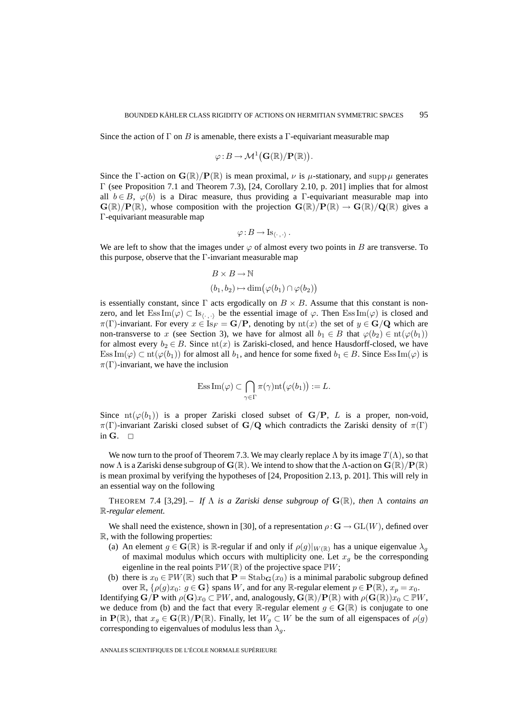Since the action of  $\Gamma$  on B is amenable, there exists a  $\Gamma$ -equivariant measurable map

$$
\varphi \colon B \to \mathcal{M}^1(\mathbf{G}(\mathbb{R})/\mathbf{P}(\mathbb{R})).
$$

Since the Γ-action on  $\mathbf{G}(\mathbb{R})/\mathbf{P}(\mathbb{R})$  is mean proximal,  $\nu$  is  $\mu$ -stationary, and supp  $\mu$  generates Γ (see Proposition 7.1 and Theorem 7.3), [24, Corollary 2.10, p. 201] implies that for almost all  $b \in B$ ,  $\varphi(b)$  is a Dirac measure, thus providing a Γ-equivariant measurable map into  $\mathbf{G}(\mathbb{R})/\mathbf{P}(\mathbb{R})$ , whose composition with the projection  $\mathbf{G}(\mathbb{R})/\mathbf{P}(\mathbb{R}) \to \mathbf{G}(\mathbb{R})/\mathbf{Q}(\mathbb{R})$  gives a Γ-equivariant measurable map

$$
\varphi:B\to \mathrm{Is}_{\langle \cdot\,,\cdot\rangle}\,.
$$

We are left to show that the images under  $\varphi$  of almost every two points in B are transverse. To this purpose, observe that the Γ-invariant measurable map

$$
B \times B \to \mathbb{N}
$$
  

$$
(b_1, b_2) \mapsto \dim(\varphi(b_1) \cap \varphi(b_2))
$$

is essentially constant, since  $\Gamma$  acts ergodically on  $B \times B$ . Assume that this constant is nonzero, and let  $\text{Ess}\operatorname{Im}(\varphi) \subset \text{Is}_{\langle \cdot,\cdot \rangle}$  be the essential image of  $\varphi$ . Then  $\text{Ess}\operatorname{Im}(\varphi)$  is closed and  $\pi(\Gamma)$ -invariant. For every  $x \in Is_F = \mathbf{G}/\mathbf{P}$ , denoting by  $\text{nt}(x)$  the set of  $y \in \mathbf{G}/\mathbf{Q}$  which are non-transverse to x (see Section 3), we have for almost all  $b_1 \in B$  that  $\varphi(b_2) \in \text{nt}(\varphi(b_1))$ for almost every  $b_2 \in B$ . Since  $\text{nt}(x)$  is Zariski-closed, and hence Hausdorff-closed, we have Ess Im( $\varphi$ ) ⊂ nt( $\varphi(b_1)$ ) for almost all  $b_1$ , and hence for some fixed  $b_1 \in B$ . Since Ess Im( $\varphi$ ) is  $\pi(\Gamma)$ -invariant, we have the inclusion

$$
\mathrm{Ess}\,\mathrm{Im}(\varphi)\subset \bigcap_{\gamma\in\Gamma}\pi(\gamma)\mathrm{nt}\big(\varphi(b_1)\big):=L.
$$

Since  $\text{nt}(\varphi(b_1))$  is a proper Zariski closed subset of  $\mathbf{G}/\mathbf{P}$ , L is a proper, non-void,  $\pi(\Gamma)$ -invariant Zariski closed subset of **G**/**Q** which contradicts the Zariski density of  $\pi(\Gamma)$ in  $G$ .  $\Box$ 

We now turn to the proof of Theorem 7.3. We may clearly replace  $\Lambda$  by its image  $T(\Lambda)$ , so that now  $\Lambda$  is a Zariski dense subgroup of  $\mathbf{G}(\mathbb{R})$ . We intend to show that the  $\Lambda$ -action on  $\mathbf{G}(\mathbb{R})/\mathbf{P}(\mathbb{R})$ is mean proximal by verifying the hypotheses of [24, Proposition 2.13, p. 201]. This will rely in an essential way on the following

THEOREM 7.4 [3,29]. – If  $\Lambda$  *is a Zariski dense subgroup of*  $\mathbf{G}(\mathbb{R})$ *, then*  $\Lambda$  *contains an* R*-regular element.*

We shall need the existence, shown in [30], of a representation  $\rho : \mathbf{G} \to \mathrm{GL}(W)$ , defined over R, with the following properties:

- (a) An element  $g \in \mathbf{G}(\mathbb{R})$  is  $\mathbb{R}$ -regular if and only if  $\rho(g)|_{W(\mathbb{R})}$  has a unique eigenvalue  $\lambda_g$ of maximal modulus which occurs with multiplicity one. Let  $x<sub>q</sub>$  be the corresponding eigenline in the real points  $\mathbb{P}W(\mathbb{R})$  of the projective space  $\mathbb{P}W$ ;
- (b) there is  $x_0 \in \mathbb{P}W(\mathbb{R})$  such that  $\mathbf{P} = \text{Stab}_{\mathbf{G}}(x_0)$  is a minimal parabolic subgroup defined over  $\mathbb{R}, \{\rho(q)x_0: q \in \mathbf{G}\}\$  spans W, and for any  $\mathbb{R}$ -regular element  $p \in \mathbf{P}(\mathbb{R}), x_p = x_0$ .

Identifying  $\mathbf{G}/\mathbf{P}$  with  $\rho(\mathbf{G})x_0 \subset \mathbb{P}W$ , and, analogously,  $\mathbf{G}(\mathbb{R})/\mathbf{P}(\mathbb{R})$  with  $\rho(\mathbf{G}(\mathbb{R}))x_0 \subset \mathbb{P}W$ , we deduce from (b) and the fact that every R-regular element  $g \in \mathbf{G}(\mathbb{R})$  is conjugate to one in  $P(\mathbb{R})$ , that  $x_q \in \mathbf{G}(\mathbb{R})/P(\mathbb{R})$ . Finally, let  $W_q \subset W$  be the sum of all eigenspaces of  $\rho(g)$ corresponding to eigenvalues of modulus less than  $\lambda_q$ .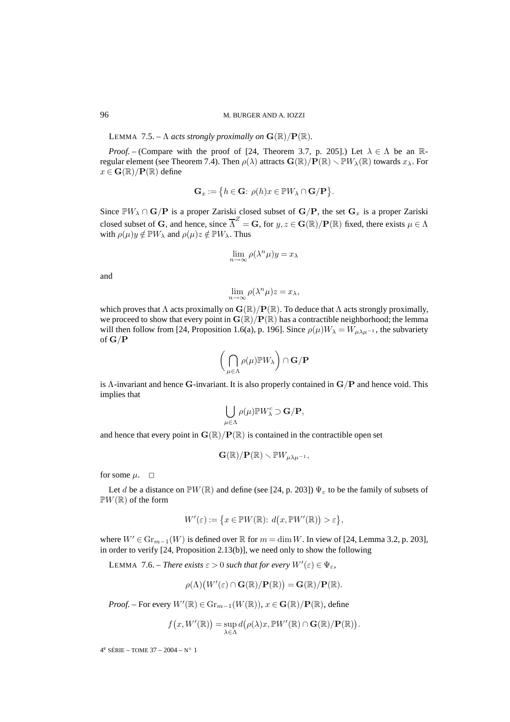LEMMA 7.5. –  $\Lambda$  *acts strongly proximally on*  $\mathbf{G}(\mathbb{R})/\mathbf{P}(\mathbb{R})$ *.* 

*Proof.* – (Compare with the proof of [24, Theorem 3.7, p. 205].) Let  $\lambda \in \Lambda$  be an Rregular element (see Theorem 7.4). Then  $\rho(\lambda)$  attracts  $\mathbf{G}(\mathbb{R})/\mathbf{P}(\mathbb{R}) \setminus \mathbb{P}W_{\lambda}(\mathbb{R})$  towards  $x_{\lambda}$ . For  $x \in \mathbf{G}(\mathbb{R})/\mathbf{P}(\mathbb{R})$  define

$$
\mathbf{G}_x := \{ h \in \mathbf{G} : \, \rho(h)x \in \mathbb{P}W_\lambda \cap \mathbf{G}/\mathbf{P} \}.
$$

Since  $\mathbb{P}W_{\lambda} \cap \mathbf{G}/\mathbf{P}$  is a proper Zariski closed subset of  $\mathbf{G}/\mathbf{P}$ , the set  $\mathbf{G}_x$  is a proper Zariski closed subset of **G**, and hence, since  $\overline{\Lambda}^Z = G$ , for  $y, z \in G(\mathbb{R})/P(\mathbb{R})$  fixed, there exists  $\mu \in \Lambda$ with  $\rho(\mu)y \notin \mathbb{P}W_\lambda$  and  $\rho(\mu)z \notin \mathbb{P}W_\lambda$ . Thus

$$
\lim_{n \to \infty} \rho(\lambda^n \mu) y = x_\lambda
$$

and

$$
\lim_{n \to \infty} \rho(\lambda^n \mu) z = x_\lambda,
$$

which proves that  $\Lambda$  acts proximally on  $\mathbf{G}(\mathbb{R})/\mathbf{P}(\mathbb{R})$ . To deduce that  $\Lambda$  acts strongly proximally, we proceed to show that every point in  $\mathbf{G}(\mathbb{R})/\mathbf{P}(\mathbb{R})$  has a contractible neighborhood; the lemma will then follow from [24, Proposition 1.6(a), p. 196]. Since  $\rho(\mu)W_{\lambda} = W_{\mu\lambda\mu^{-1}}$ , the subvariety of **G**/**P**

$$
\bigg(\bigcap_{\mu\in\Lambda}\rho(\mu)\mathbb{P} W_\lambda\bigg)\cap\mathbf{G}/\mathbf{P}
$$

is Λ-invariant and hence **G**-invariant. It is also properly contained in **G**/**P** and hence void. This implies that

$$
\bigcup_{\mu \in \Lambda} \rho(\mu) \mathbb{P} W_{\lambda}^c \supset \mathbf{G}/\mathbf{P},
$$

and hence that every point in  $\mathbf{G}(\mathbb{R})/P(\mathbb{R})$  is contained in the contractible open set

$$
\mathbf{G}(\mathbb{R})/\mathbf{P}(\mathbb{R})\setminus \mathbb{P}W_{\mu\lambda\mu^{-1}},
$$

for some  $\mu$ .  $\Box$ 

Let d be a distance on  $\mathbb{P}W(\mathbb{R})$  and define (see [24, p. 203])  $\Psi_{\varepsilon}$  to be the family of subsets of  $\mathbb{P}W(\mathbb{R})$  of the form

$$
W'(\varepsilon) := \{ x \in \mathbb{P}W(\mathbb{R}) : d(x, \mathbb{P}W'(\mathbb{R})) > \varepsilon \},
$$

where  $W' \in \mathrm{Gr}_{m-1}(W)$  is defined over  $\mathbb R$  for  $m = \dim W$ . In view of [24, Lemma 3.2, p. 203], in order to verify [24, Proposition 2.13(b)], we need only to show the following

LEMMA 7.6. – *There exists*  $\varepsilon > 0$  *such that for every*  $W'(\varepsilon) \in \Psi_{\varepsilon}$ ,

$$
\rho(\Lambda)(W'(\varepsilon) \cap \mathbf{G}(\mathbb{R})/\mathbf{P}(\mathbb{R})) = \mathbf{G}(\mathbb{R})/\mathbf{P}(\mathbb{R}).
$$

*Proof.* – For every  $W'(\mathbb{R}) \in \mathrm{Gr}_{m-1}(W(\mathbb{R})), x \in \mathbf{G}(\mathbb{R})/\mathbf{P}(\mathbb{R})$ , define

$$
f(x, W'(\mathbb{R})) = \sup_{\lambda \in \Lambda} d(\rho(\lambda)x, \mathbb{P}W'(\mathbb{R}) \cap \mathbf{G}(\mathbb{R})/\mathbf{P}(\mathbb{R})).
$$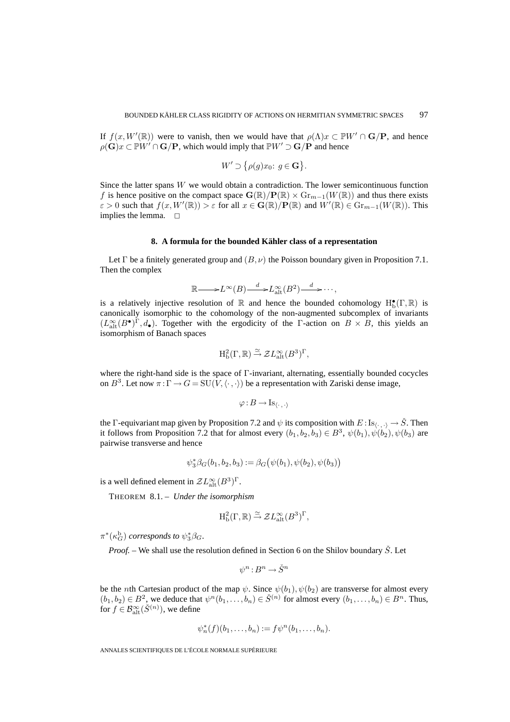If  $f(x, W'(\mathbb{R}))$  were to vanish, then we would have that  $\rho(\Lambda)x \subset \mathbb{P}W' \cap \mathbf{G}/\mathbf{P}$ , and hence  $\rho(\mathbf{G})x \subset \mathbb{P}W' \cap \mathbf{G}/\mathbf{P}$ , which would imply that  $\mathbb{P}W' \supset \mathbf{G}/\mathbf{P}$  and hence

$$
W' \supset \{ \rho(g)x_0 : g \in \mathbf{G} \}.
$$

Since the latter spans  $W$  we would obtain a contradiction. The lower semicontinuous function f is hence positive on the compact space  $\mathbf{G}(\mathbb{R})/\mathbf{P}(\mathbb{R}) \times \mathrm{Gr}_{m-1}(W(\mathbb{R}))$  and thus there exists  $\varepsilon > 0$  such that  $f(x, W'(\mathbb{R})) > \varepsilon$  for all  $x \in \mathbf{G}(\mathbb{R})/\mathbf{P}(\mathbb{R})$  and  $W'(\mathbb{R}) \in \mathrm{Gr}_{m-1}(W(\mathbb{R}))$ . This implies the lemma.  $\square$ 

#### **8. A formula for the bounded Kähler class of a representation**

Let  $\Gamma$  be a finitely generated group and  $(B, \nu)$  the Poisson boundary given in Proposition 7.1. Then the complex

$$
\mathbb{R}\longrightarrow L^{\infty}(B)\xrightarrow{d}L_{\mathrm{alt}}^{\infty}(B^{2})\xrightarrow{d}\cdots,
$$

is a relatively injective resolution of  $\mathbb R$  and hence the bounded cohomology  $H_b^{\bullet}(\Gamma,\mathbb R)$  is canonically isomorphic to the cohomology of the non-augmented subcomplex of invariants  $(L_{\text{alt}}^{\infty}(B^{\bullet})^{\Gamma}, d_{\bullet}).$  Together with the ergodicity of the Γ-action on  $B \times B$ , this yields an isomorphism of Banach spaces

$$
H^2_{\text{b}}(\Gamma,\mathbb{R}) \stackrel{\simeq}{\to} \mathcal{Z}L_{\text{alt}}^{\infty}(B^3)^{\Gamma},
$$

where the right-hand side is the space of Γ-invariant, alternating, essentially bounded cocycles on  $B^3$ . Let now  $\pi : \Gamma \to G = SU(V, \langle \cdot, \cdot \rangle)$  be a representation with Zariski dense image,

$$
\varphi:B\to \operatorname{Is}_{\langle \cdot\,,\,\cdot\rangle}
$$

the Γ-equivariant map given by Proposition 7.2 and  $\psi$  its composition with  $E: Is_{\langle \cdot, \cdot \rangle} \to \check{S}$ . Then it follows from Proposition 7.2 that for almost every  $(b_1, b_2, b_3) \in B^3$ ,  $\psi(b_1), \psi(b_2), \psi(b_3)$  are pairwise transverse and hence

$$
\psi_3^* \beta_G(b_1, b_2, b_3) := \beta_G(\psi(b_1), \psi(b_2), \psi(b_3))
$$

is a well defined element in  $\mathcal{Z}L_{\text{alt}}^{\infty}(B^3)^{\Gamma}$ .

THEOREM 8.1. – *Under the isomorphism*

$$
H^2_b(\Gamma,\mathbb{R}) \stackrel{\simeq}{\rightarrow} \mathcal{Z}L^\infty_{\mathrm{alt}}(B^3)^{\Gamma},
$$

 $\pi^*(\kappa_G^{\rm b})$  *corresponds to*  $\psi_3^*\beta_G$ .

*Proof.* – We shall use the resolution defined in Section 6 on the Shilov boundary  $\check{S}$ . Let

$$
\psi^n:B^n\to \check S^n
$$

be the *n*th Cartesian product of the map  $\psi$ . Since  $\psi(b_1), \psi(b_2)$  are transverse for almost every  $(b_1, b_2) \in B^2$ , we deduce that  $\psi^n(b_1, \ldots, b_n) \in \check{S}^{(n)}$  for almost every  $(b_1, \ldots, b_n) \in B^n$ . Thus, for  $f \in \mathcal{B}^{\infty}_{\mathrm{alt}}(\check{S}^{(n)})$ , we define

$$
\psi_n^*(f)(b_1,\ldots,b_n):=f\psi^n(b_1,\ldots,b_n).
$$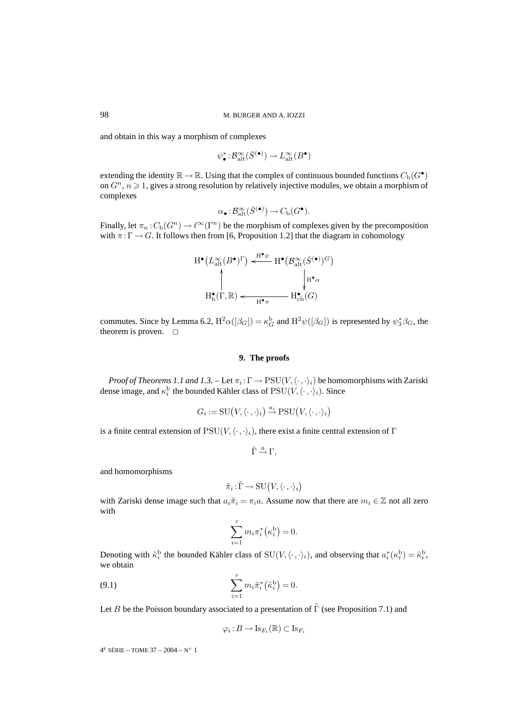and obtain in this way a morphism of complexes

$$
\psi_{\bullet}^* : \mathcal{B}^{\infty}_{\mathrm{alt}}(\check{S}^{(\bullet)}) \to L^{\infty}_{\mathrm{alt}}(B^{\bullet})
$$

extending the identity  $\mathbb{R} \to \mathbb{R}$ . Using that the complex of continuous bounded functions  $C_{\rm b}(G^{\bullet})$ on  $G<sup>n</sup>$ ,  $n \ge 1$ , gives a strong resolution by relatively injective modules, we obtain a morphism of complexes

$$
\alpha_{\bullet}: \mathcal{B}^{\infty}_{\mathrm{alt}}(\check{S}^{(\bullet)}) \to C_{\mathrm{b}}(G^{\bullet}).
$$

Finally, let  $\pi_n : C_b(G^n) \to \ell^{\infty}(\Gamma^n)$  be the morphism of complexes given by the precomposition with  $\pi : \Gamma \to G$ . It follows then from [6, Proposition 1.2] that the diagram in cohomology



commutes. Since by Lemma 6.2,  $H^2\alpha([\beta_G]) = \kappa_G^b$  and  $H^2\psi([\beta_G])$  is represented by  $\psi_3^*\beta_G$ , the theorem is proven.  $\square$ 

# **9. The proofs**

*Proof of Theorems 1.1 and 1.3.* – Let  $\pi_i : \Gamma \to \mathrm{PSU}(V, \langle \cdot, \cdot \rangle_i)$  be homomorphisms with Zariski dense image, and  $\kappa_i^{\rm b}$  the bounded Kähler class of  $\mathrm{PSU}(V,\langle\cdot\,,\cdot\rangle_i)$ . Since

$$
G_i := \mathrm{SU}\big(V, \langle \cdot \, , \cdot \rangle_i\big) \stackrel{a_i}{\to} \mathrm{PSU}\big(V, \langle \cdot \, , \cdot \rangle_i\big)
$$

is a finite central extension of  $PSU(V, \langle \cdot, \cdot \rangle_i)$ , there exist a finite central extension of Γ

 $\tilde{\Gamma} \stackrel{a}{\rightarrow} \Gamma$ ,

and homomorphisms

$$
\tilde{\pi}_i : \tilde{\Gamma} \to \mathrm{SU}(V, \langle \cdot, \cdot \rangle_i)
$$

with Zariski dense image such that  $a_i \tilde{\pi}_i = \pi_i a$ . Assume now that there are  $m_i \in \mathbb{Z}$  not all zero with

$$
\sum_{i=1}^r m_i \pi_i^* \left(\kappa_i^{\mathrm{b}}\right) = 0.
$$

Denoting with  $\tilde{\kappa}_i^{\text{b}}$  the bounded Kähler class of  $\text{SU}(V, \langle \cdot, \cdot \rangle_i)$ , and observing that  $a_i^*(\kappa_i^{\text{b}}) = \tilde{\kappa}_i^{\text{b}}$ , we obtain

(9.1) 
$$
\sum_{i=1}^{r} m_i \tilde{\pi}_i^* (\tilde{\kappa}_i^{\mathrm{b}}) = 0.
$$

Let B be the Poisson boundary associated to a presentation of  $\tilde{\Gamma}$  (see Proposition 7.1) and

$$
\varphi_i:B\to \mathrm{Is}_{F_i}(\mathbb{R})\subset \mathrm{Is}_{F_i}
$$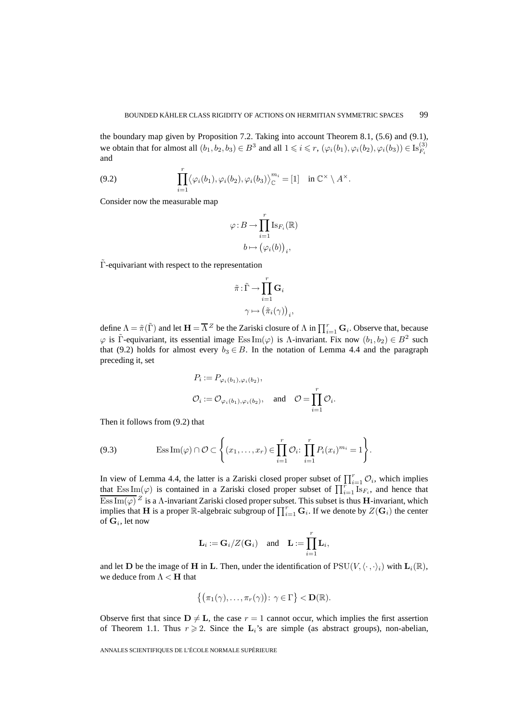the boundary map given by Proposition 7.2. Taking into account Theorem 8.1, (5.6) and (9.1), we obtain that for almost all  $(b_1, b_2, b_3) \in B^3$  and all  $1 \le i \le r$ ,  $(\varphi_i(b_1), \varphi_i(b_2), \varphi_i(b_3)) \in \text{Is}_{F_i}^{(3)}$ and

(9.2) 
$$
\prod_{i=1}^r \langle \varphi_i(b_1), \varphi_i(b_2), \varphi_i(b_3) \rangle_{\mathbb{C}}^{m_i} = [1] \text{ in } \mathbb{C}^\times \setminus A^\times.
$$

Consider now the measurable map

$$
\varphi: B \to \prod_{i=1}^r \text{Is}_{F_i}(\mathbb{R})
$$

$$
b \mapsto (\varphi_i(b))_i,
$$

Γ-equivariant with respect to the representation

$$
\tilde{\pi} : \tilde{\Gamma} \to \prod_{i=1}^r \mathbf{G}_i
$$

$$
\gamma \mapsto (\tilde{\pi}_i(\gamma))_i
$$

,

define  $\Lambda = \tilde{\pi}(\tilde{\Gamma})$  and let  $\mathbf{H} = \overline{\Lambda}^Z$  be the Zariski closure of  $\Lambda$  in  $\prod_{i=1}^r \mathbf{G}_i$ . Observe that, because  $\varphi$  is Γ̃-equivariant, its essential image Ess Im( $\varphi$ ) is Λ-invariant. Fix now  $(b_1, b_2) \in B^2$  such that (9.2) holds for almost every  $b_3 \in B$ . In the notation of Lemma 4.4 and the paragraph preceding it, set

$$
P_i := P_{\varphi_i(b_1), \varphi_i(b_2)},
$$
  

$$
\mathcal{O}_i := \mathcal{O}_{\varphi_i(b_1), \varphi_i(b_2)}, \text{ and } \mathcal{O} = \prod_{i=1}^r \mathcal{O}_i.
$$

Then it follows from (9.2) that

(9.3) 
$$
\text{Ess}\,\text{Im}(\varphi)\cap\mathcal{O}\subset\Big\{(x_1,\ldots,x_r)\in\prod_{i=1}^r\mathcal{O}_i\colon\prod_{i=1}^rP_i(x_i)^{m_i}=1\Big\}.
$$

In view of Lemma 4.4, the latter is a Zariski closed proper subset of  $\prod_{i=1}^{r} \mathcal{O}_i$ , which implies that  $\text{Ess}\,Im(\varphi)$  is contained in a Zariski closed proper subset of  $\prod_{i=1}^{r} \text{Is}_{F_i}$ , and hence that  $\overline{\text{Ess}\, \text{Im}(\varphi)}^Z$  is a  $\Lambda$ -invariant Zariski closed proper subset. This subset is thus **H**-invariant, which implies that **H** is a proper R-algebraic subgroup of  $\prod_{i=1}^r \mathbf{G}_i$ . If we denote by  $Z(\mathbf{G}_i)$  the center of  $\mathbf{G}_i$ , let now

$$
\mathbf{L}_i := \mathbf{G}_i/Z(\mathbf{G}_i) \quad \text{and} \quad \mathbf{L} := \prod_{i=1}^r \mathbf{L}_i,
$$

and let **D** be the image of **H** in **L**. Then, under the identification of  $PSU(V, \langle \cdot, \cdot \rangle_i)$  with  $\mathbf{L}_i(\mathbb{R})$ , we deduce from  $\Lambda < H$  that

$$
\{(\pi_1(\gamma),\ldots,\pi_r(\gamma))\colon \gamma\in\Gamma\} < \mathbf{D}(\mathbb{R}).
$$

Observe first that since  $D \neq L$ , the case  $r = 1$  cannot occur, which implies the first assertion of Theorem 1.1. Thus  $r \ge 2$ . Since the  $\mathbf{L}_i$ 's are simple (as abstract groups), non-abelian,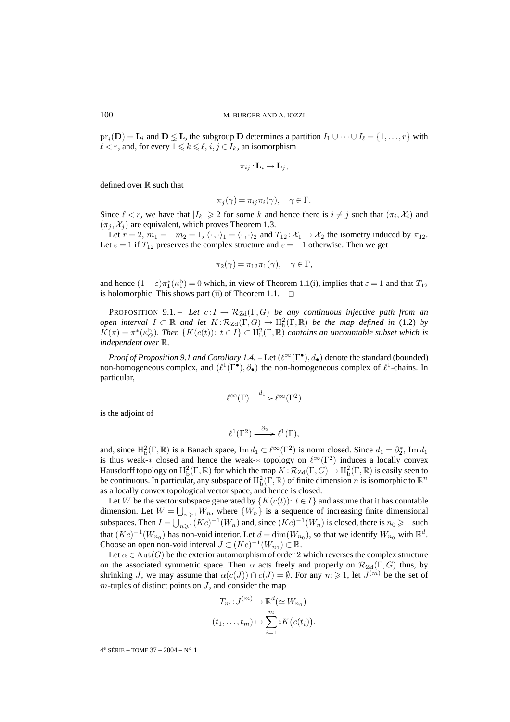$pr_i(D) = L_i$  and  $D \leq L$ , the subgroup D determines a partition  $I_1 \cup \cdots \cup I_\ell = \{1, \ldots, r\}$  with  $\ell < r$ , and, for every  $1 \leq k \leq \ell, i, j \in I_k$ , an isomorphism

$$
\pi_{ij}: \mathbf{L}_i \to \mathbf{L}_j,
$$

defined over  $\mathbb R$  such that

$$
\pi_j(\gamma) = \pi_{ij}\pi_i(\gamma), \quad \gamma \in \Gamma.
$$

Since  $\ell < r$ , we have that  $|I_k| \geq 2$  for some k and hence there is  $i \neq j$  such that  $(\pi_i, \mathcal{X}_i)$  and  $(\pi_i, \mathcal{X}_i)$  are equivalent, which proves Theorem 1.3.

Let  $r = 2$ ,  $m_1 = -m_2 = 1$ ,  $\langle \cdot, \cdot \rangle_1 = \langle \cdot, \cdot \rangle_2$  and  $T_{12} : \mathcal{X}_1 \to \mathcal{X}_2$  the isometry induced by  $\pi_{12}$ . Let  $\varepsilon = 1$  if  $T_{12}$  preserves the complex structure and  $\varepsilon = -1$  otherwise. Then we get

$$
\pi_2(\gamma) = \pi_{12}\pi_1(\gamma), \quad \gamma \in \Gamma,
$$

and hence  $(1 - \varepsilon)\pi_1^*(\kappa_1^{\rm b}) = 0$  which, in view of Theorem 1.1(i), implies that  $\varepsilon = 1$  and that  $T_{12}$ is holomorphic. This shows part (ii) of Theorem 1.1.  $\Box$ 

**PROPOSITION** 9.1. – Let  $c: I \to \mathcal{R}_{Zd}(\Gamma, G)$  be any continuous injective path from an *open interval*  $I \subset \mathbb{R}$  *and let*  $K : \mathcal{R}_{Zd}(\Gamma, G) \to \mathrm{H}^2_{\mathrm{b}}(\Gamma, \mathbb{R})$  *be the map defined in* (1.2) *by*  $K(\pi) = \pi^*(\kappa_G^b)$ . Then  $\{K(c(t)) : t \in I\} \subset H_b^2(\Gamma, \mathbb{R})$  contains an uncountable subset which is *independent over* R*.*

*Proof of Proposition 9.1 and Corollary 1.4.* – Let  $(\ell^{\infty}(\Gamma^{\bullet}), d_{\bullet})$  denote the standard (bounded) non-homogeneous complex, and  $(\ell^1(\Gamma^{\bullet}), \partial_{\bullet})$  the non-homogeneous complex of  $\ell^1$ -chains. In particular,

$$
\ell^{\infty}(\Gamma) \xrightarrow{d_1} \ell^{\infty}(\Gamma^2)
$$

is the adjoint of

$$
\ell^1(\Gamma^2) \xrightarrow{\partial_2} \ell^1(\Gamma),
$$

and, since  $H_b^2(\Gamma,\mathbb{R})$  is a Banach space,  $\text{Im } d_1 \subset \ell^{\infty}(\Gamma^2)$  is norm closed. Since  $d_1 = \partial_2^*$ ,  $\text{Im } d_1$ is thus weak-∗ closed and hence the weak-∗ topology on  $\ell^{\infty}(\Gamma^2)$  induces a locally convex Hausdorff topology on  $H^2_b(\Gamma,\mathbb{R})$  for which the map  $K: \mathcal{R}_{\mathrm{Zd}}(\Gamma,G) \to H^2_b(\Gamma,\mathbb{R})$  is easily seen to be continuous. In particular, any subspace of  $H_b^2(\Gamma,\mathbb{R})$  of finite dimension n is isomorphic to  $\mathbb{R}^n$ as a locally convex topological vector space, and hence is closed.

Let W be the vector subspace generated by  $\{K(c(t)): t \in I\}$  and assume that it has countable dimension. Let  $W = \bigcup_{n \geq 1} W_n$ , where  $\{W_n\}$  is a sequence of increasing finite dimensional subspaces. Then  $I = \bigcup_{n \geq 1} (Kc)^{-1}(W_n)$  and, since  $(Kc)^{-1}(W_n)$  is closed, there is  $n_0 \geq 1$  such that  $(Kc)^{-1}(W_{n_0})$  has non-void interior. Let  $d = \dim(W_{n_0})$ , so that we identify  $W_{n_0}$  with  $\mathbb{R}^d$ . Choose an open non-void interval  $J \subset (Kc)^{-1}(W_{n_0}) \subset \mathbb{R}$ .

Let  $\alpha \in \text{Aut}(G)$  be the exterior automorphism of order 2 which reverses the complex structure on the associated symmetric space. Then  $\alpha$  acts freely and properly on  $\mathcal{R}_{Zd}(\Gamma, G)$  thus, by shrinking J, we may assume that  $\alpha(c(J)) \cap c(J) = \emptyset$ . For any  $m \ge 1$ , let  $J^{(m)}$  be the set of  $m$ -tuples of distinct points on  $J$ , and consider the map

$$
T_m: J^{(m)} \to \mathbb{R}^d (\simeq W_{n_0})
$$

$$
(t_1, \dots, t_m) \mapsto \sum_{i=1}^m i K(c(t_i)).
$$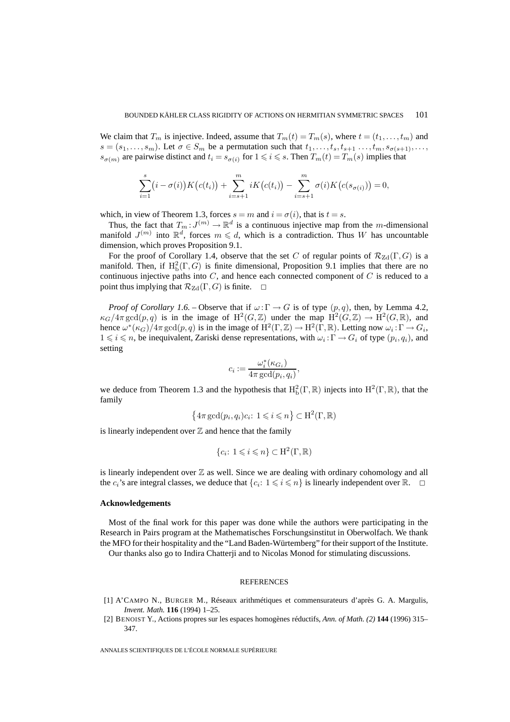We claim that  $T_m$  is injective. Indeed, assume that  $T_m(t) = T_m(s)$ , where  $t = (t_1, \ldots, t_m)$  and  $s = (s_1, \ldots, s_m)$ . Let  $\sigma \in S_m$  be a permutation such that  $t_1, \ldots, t_s, t_{s+1}, \ldots, t_m, s_{\sigma(s+1)}, \ldots$  $s_{\sigma(m)}$  are pairwise distinct and  $t_i = s_{\sigma(i)}$  for  $1 \leq i \leq s$ . Then  $T_m(t) = T_m(s)$  implies that

$$
\sum_{i=1}^{s} (i - \sigma(i)) K(c(t_i)) + \sum_{i=s+1}^{m} i K(c(t_i)) - \sum_{i=s+1}^{m} \sigma(i) K(c(s_{\sigma(i)})) = 0,
$$

which, in view of Theorem 1.3, forces  $s = m$  and  $i = \sigma(i)$ , that is  $t = s$ .

Thus, the fact that  $T_m: J^{(m)} \to \mathbb{R}^d$  is a continuous injective map from the m-dimensional manifold  $J^{(m)}$  into  $\mathbb{R}^d$ , forces  $m \leq d$ , which is a contradiction. Thus W has uncountable dimension, which proves Proposition 9.1.

For the proof of Corollary 1.4, observe that the set C of regular points of  $\mathcal{R}_{Zd}(\Gamma, G)$  is a manifold. Then, if  $H^2_b(\Gamma, G)$  is finite dimensional, Proposition 9.1 implies that there are no continuous injective paths into  $C$ , and hence each connected component of  $C$  is reduced to a point thus implying that  $\mathcal{R}_{\mathrm{Zd}}(\Gamma, G)$  is finite.  $\Box$ 

*Proof of Corollary 1.6. –* Observe that if  $\omega : \Gamma \to G$  is of type  $(p, q)$ , then, by Lemma 4.2,  $\kappa_G/4\pi \gcd(p,q)$  is in the image of  $\mathrm{H}^2(G,\mathbb{Z})$  under the map  $\mathrm{H}^2(G,\mathbb{Z}) \to \mathrm{H}^2(G,\mathbb{R})$ , and hence  $\omega^*(\kappa_G)/4\pi \gcd(p,q)$  is in the image of  $\mathrm{H}^2(\Gamma,\mathbb{Z}) \to \mathrm{H}^2(\Gamma,\mathbb{R})$ . Letting now  $\omega_i : \Gamma \to G_i$ ,  $1 \leq i \leq n$ , be inequivalent, Zariski dense representations, with  $\omega_i : \Gamma \to G_i$  of type  $(p_i, q_i)$ , and setting

$$
c_i := \frac{\omega_i^*(\kappa_{G_i})}{4\pi \gcd(p_i, q_i)},
$$

we deduce from Theorem 1.3 and the hypothesis that  $H_b^2(\Gamma,\mathbb{R})$  injects into  $H^2(\Gamma,\mathbb{R})$ , that the family

$$
\{4\pi \gcd(p_i, q_i)c_i\colon 1\leqslant i\leqslant n\}\subset\mathrm{H}^2(\Gamma,\mathbb{R})
$$

is linearly independent over  $Z$  and hence that the family

$$
\{c_i: 1 \leqslant i \leqslant n\} \subset \mathrm{H}^2(\Gamma, \mathbb{R})
$$

is linearly independent over  $\mathbb Z$  as well. Since we are dealing with ordinary cohomology and all the  $c_i$ 's are integral classes, we deduce that  $\{c_i: 1 \leq i \leq n\}$  is linearly independent over  $\mathbb{R}$ .  $\Box$ 

#### **Acknowledgements**

Most of the final work for this paper was done while the authors were participating in the Research in Pairs program at the Mathematisches Forschungsinstitut in Oberwolfach. We thank the MFO for their hospitality and the "Land Baden-Würtemberg" for their support of the Institute.

Our thanks also go to Indira Chatterji and to Nicolas Monod for stimulating discussions.

#### REFERENCES

- [1] A'CAMPO N., BURGER M., Réseaux arithmétiques et commensurateurs d'après G. A. Margulis, *Invent. Math.* **116** (1994) 1–25.
- [2] BENOIST Y., Actions propres sur les espaces homogènes réductifs, *Ann. of Math. (2)* **144** (1996) 315– 347.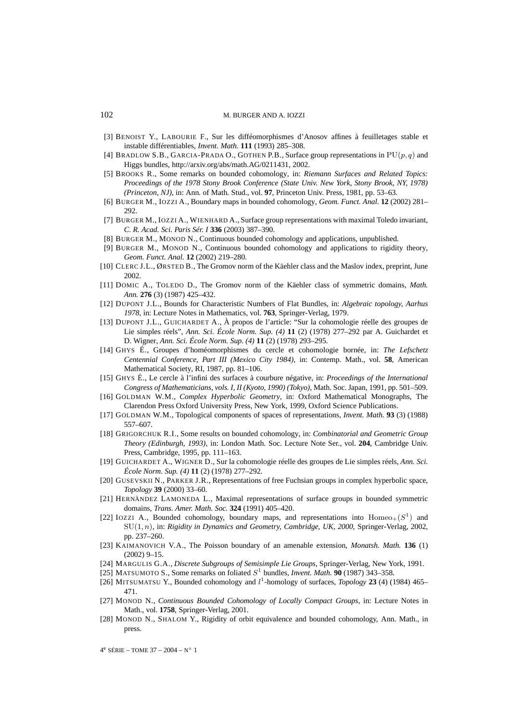- [3] BENOIST Y., LABOURIE F., Sur les difféomorphismes d'Anosov affines à feuilletages stable et instable différentiables, *Invent. Math.* **111** (1993) 285–308.
- [4] BRADLOW S.B., GARCIA-PRADA O., GOTHEN P.B., Surface group representations in  $PU(p, q)$  and Higgs bundles, http://arxiv.org/abs/math.AG/0211431, 2002.
- [5] BROOKS R., Some remarks on bounded cohomology, in: *Riemann Surfaces and Related Topics: Proceedings of the 1978 Stony Brook Conference (State Univ. New York, Stony Brook, NY, 1978) (Princeton, NJ)*, in: Ann. of Math. Stud., vol. **97**, Princeton Univ. Press, 1981, pp. 53–63.
- [6] BURGER M., IOZZI A., Boundary maps in bounded cohomology, *Geom. Funct. Anal.* **12** (2002) 281– 292.
- [7] BURGER M., IOZZI A., WIENHARD A., Surface group representations with maximal Toledo invariant, *C. R. Acad. Sci. Paris Sér. I* **336** (2003) 387–390.
- [8] BURGER M., MONOD N., Continuous bounded cohomology and applications, unpublished.
- [9] BURGER M., MONOD N., Continuous bounded cohomology and applications to rigidity theory, *Geom. Funct. Anal.* **12** (2002) 219–280.
- [10] CLERC J.L., ØRSTED B., The Gromov norm of the Käehler class and the Maslov index, preprint, June 2002.
- [11] DOMIC A., TOLEDO D., The Gromov norm of the Käehler class of symmetric domains, *Math. Ann.* **276** (3) (1987) 425–432.
- [12] DUPONT J.L., Bounds for Characteristic Numbers of Flat Bundles, in: *Algebraic topology, Aarhus 1978*, in: Lecture Notes in Mathematics, vol. **763**, Springer-Verlag, 1979.
- [13] DUPONT J.L., GUICHARDET A., À propos de l'article: "Sur la cohomologie réelle des groupes de Lie simples réels", *Ann. Sci. École Norm. Sup. (4)* **11** (2) (1978) 277–292 par A. Guichardet et D. Wigner, *Ann. Sci. École Norm. Sup. (4)* **11** (2) (1978) 293–295.
- [14] GHYS É., Groupes d'homéomorphismes du cercle et cohomologie bornée, in: *The Lefschetz Centennial Conference, Part III (Mexico City 1984)*, in: Contemp. Math., vol. **58**, American Mathematical Society, RI, 1987, pp. 81–106.
- [15] GHYS É., Le cercle à l'infini des surfaces à courbure négative, in: *Proceedings of the International Congress of Mathematicians, vols. I, II (Kyoto, 1990) (Tokyo)*, Math. Soc. Japan, 1991, pp. 501–509.
- [16] GOLDMAN W.M., *Complex Hyperbolic Geometry*, in: Oxford Mathematical Monographs, The Clarendon Press Oxford University Press, New York, 1999, Oxford Science Publications.
- [17] GOLDMAN W.M., Topological components of spaces of representations, *Invent. Math.* **93** (3) (1988) 557–607.
- [18] GRIGORCHUK R.I., Some results on bounded cohomology, in: *Combinatorial and Geometric Group Theory (Edinburgh, 1993)*, in: London Math. Soc. Lecture Note Ser., vol. **204**, Cambridge Univ. Press, Cambridge, 1995, pp. 111–163.
- [19] GUICHARDET A., WIGNER D., Sur la cohomologie réelle des groupes de Lie simples réels, *Ann. Sci. École Norm. Sup. (4)* **11** (2) (1978) 277–292.
- [20] GUSEVSKII N., PARKER J.R., Representations of free Fuchsian groups in complex hyperbolic space, *Topology* **39** (2000) 33–60.
- [21] HERNÀNDEZ LAMONEDA L., Maximal representations of surface groups in bounded symmetric domains, *Trans. Amer. Math. Soc.* **324** (1991) 405–420.
- [22] IOZZI A., Bounded cohomology, boundary maps, and representations into  $Homeo+(S^1)$  and SU(1, n), in: *Rigidity in Dynamics and Geometry, Cambridge, UK, 2000*, Springer-Verlag, 2002, pp. 237–260.
- [23] KAIMANOVICH V.A., The Poisson boundary of an amenable extension, *Monatsh. Math.* **136** (1) (2002) 9–15.
- [24] MARGULIS G.A., *Discrete Subgroups of Semisimple Lie Groups*, Springer-Verlag, New York, 1991.
- [25] MATSUMOTO S., Some remarks on foliated  $S^1$  bundles, *Invent. Math.* **90** (1987) 343–358.
- [26] MITSUMATSU Y., Bounded cohomology and l <sup>1</sup>-homology of surfaces, *Topology* **23** (4) (1984) 465– 471.
- [27] MONOD N., *Continuous Bounded Cohomology of Locally Compact Groups*, in: Lecture Notes in Math., vol. **1758**, Springer-Verlag, 2001.
- [28] MONOD N., SHALOM Y., Rigidity of orbit equivalence and bounded cohomology, Ann. Math., in press.